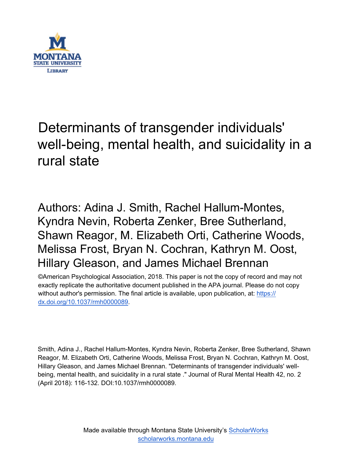

# Determinants of transgender individuals' well-being, mental health, and suicidality in a rural state

Authors: Adina J. Smith, Rachel Hallum-Montes, Kyndra Nevin, Roberta Zenker, Bree Sutherland, Shawn Reagor, M. Elizabeth Orti, Catherine Woods, Melissa Frost, Bryan N. Cochran, Kathryn M. Oost, Hillary Gleason, and James Michael Brennan

©American Psychological Association, 2018. This paper is not the copy of record and may not exactly replicate the authoritative document published in the APA journal. Please do not copy without author's permission. The final article is available, upon publication, at: [https://](https://dx.doi.org/10.1037/rmh0000089) [dx.doi.org/10.1037/rmh0000089.](https://dx.doi.org/10.1037/rmh0000089)

Smith, Adina J., Rachel Hallum-Montes, Kyndra Nevin, Roberta Zenker, Bree Sutherland, Shawn Reagor, M. Elizabeth Orti, Catherine Woods, Melissa Frost, Bryan N. Cochran, Kathryn M. Oost, Hillary Gleason, and James Michael Brennan. "Determinants of transgender individuals' wellbeing, mental health, and suicidality in a rural state ." Journal of Rural Mental Health 42, no. 2 (April 2018): 116-132. DOI:10.1037/rmh0000089.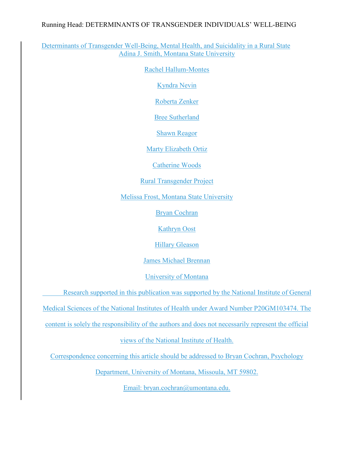#### Running Head: DETERMINANTS OF TRANSGENDER INDIVIDUALS' WELL-BEING

Determinants of Transgender Well-Being, Mental Health, and Suicidality in a Rural State Adina J. Smith, Montana State University

Rachel Hallum-Montes

Kyndra Nevin

Roberta Zenker

Bree Sutherland

Shawn Reagor

Marty Elizabeth Ortiz

Catherine Woods

Rural Transgender Project

Melissa Frost, Montana State University

Bryan Cochran

Kathryn Oost

Hillary Gleason

James Michael Brennan

University of Montana

Research supported in this publication was supported by the National Institute of General

Medical Sciences of the National Institutes of Health under Award Number P20GM103474. The

content is solely the responsibility of the authors and does not necessarily represent the official

views of the National Institute of Health.

Correspondence concerning this article should be addressed to Bryan Cochran, Psychology

Department, University of Montana, Missoula, MT 59802.

Email: bryan.cochran@umontana.edu.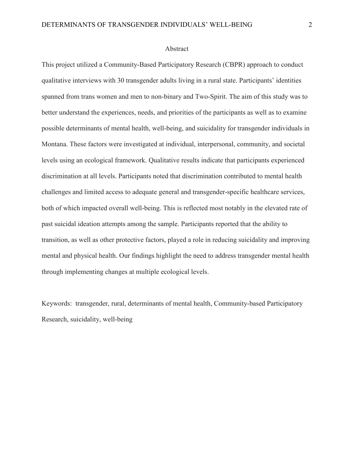#### **Abstract**

This project utilized a Community-Based Participatory Research (CBPR) approach to conduct qualitative interviews with 30 transgender adults living in a rural state. Participants' identities spanned from trans women and men to non-binary and Two-Spirit. The aim of this study was to better understand the experiences, needs, and priorities of the participants as well as to examine possible determinants of mental health, well-being, and suicidality for transgender individuals in Montana. These factors were investigated at individual, interpersonal, community, and societal levels using an ecological framework. Qualitative results indicate that participants experienced discrimination at all levels. Participants noted that discrimination contributed to mental health challenges and limited access to adequate general and transgender-specific healthcare services, both of which impacted overall well-being. This is reflected most notably in the elevated rate of past suicidal ideation attempts among the sample. Participants reported that the ability to transition, as well as other protective factors, played a role in reducing suicidality and improving mental and physical health. Our findings highlight the need to address transgender mental health through implementing changes at multiple ecological levels.

Keywords: transgender, rural, determinants of mental health, Community-based Participatory Research, suicidality, well-being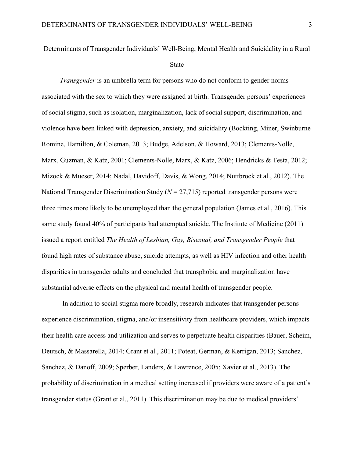Determinants of Transgender Individuals' Well-Being, Mental Health and Suicidality in a Rural

#### State

*Transgender* is an umbrella term for persons who do not conform to gender norms associated with the sex to which they were assigned at birth. Transgender persons' experiences of social stigma, such as isolation, marginalization, lack of social support, discrimination, and violence have been linked with depression, anxiety, and suicidality (Bockting, Miner, Swinburne Romine, Hamilton, & Coleman, 2013; Budge, Adelson, & Howard, 2013; Clements-Nolle, Marx, Guzman, & Katz, 2001; Clements-Nolle, Marx, & Katz, 2006; Hendricks & Testa, 2012; Mizock & Mueser, 2014; Nadal, Davidoff, Davis, & Wong, 2014; Nuttbrock et al., 2012). The National Transgender Discrimination Study ( $N = 27,715$ ) reported transgender persons were three times more likely to be unemployed than the general population (James et al., 2016). This same study found 40% of participants had attempted suicide. The Institute of Medicine (2011) issued a report entitled *The Health of Lesbian, Gay, Bisexual, and Transgender People* that found high rates of substance abuse, suicide attempts, as well as HIV infection and other health disparities in transgender adults and concluded that transphobia and marginalization have substantial adverse effects on the physical and mental health of transgender people.

 In addition to social stigma more broadly, research indicates that transgender persons experience discrimination, stigma, and/or insensitivity from healthcare providers, which impacts their health care access and utilization and serves to perpetuate health disparities (Bauer, Scheim, Deutsch, & Massarella, 2014; Grant et al., 2011; Poteat, German, & Kerrigan, 2013; Sanchez, Sanchez, & Danoff, 2009; Sperber, Landers, & Lawrence, 2005; Xavier et al., 2013). The probability of discrimination in a medical setting increased if providers were aware of a patient's transgender status (Grant et al., 2011). This discrimination may be due to medical providers'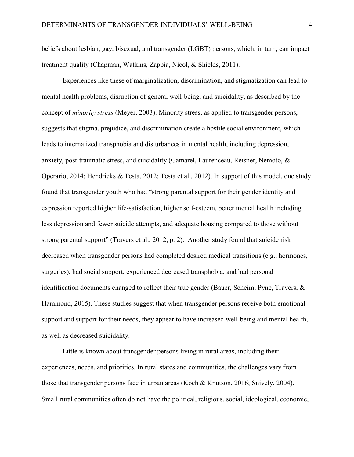beliefs about lesbian, gay, bisexual, and transgender (LGBT) persons, which, in turn, can impact treatment quality (Chapman, Watkins, Zappia, Nicol, & Shields, 2011).

Experiences like these of marginalization, discrimination, and stigmatization can lead to mental health problems, disruption of general well-being, and suicidality, as described by the concept of *minority stress* (Meyer, 2003). Minority stress, as applied to transgender persons, suggests that stigma, prejudice, and discrimination create a hostile social environment, which leads to internalized transphobia and disturbances in mental health, including depression, anxiety, post-traumatic stress, and suicidality (Gamarel, Laurenceau, Reisner, Nemoto, & Operario, 2014; Hendricks & Testa, 2012; Testa et al., 2012). In support of this model, one study found that transgender youth who had "strong parental support for their gender identity and expression reported higher life-satisfaction, higher self-esteem, better mental health including less depression and fewer suicide attempts, and adequate housing compared to those without strong parental support" (Travers et al., 2012, p. 2). Another study found that suicide risk decreased when transgender persons had completed desired medical transitions (e.g., hormones, surgeries), had social support, experienced decreased transphobia, and had personal identification documents changed to reflect their true gender (Bauer, Scheim, Pyne, Travers, & Hammond, 2015). These studies suggest that when transgender persons receive both emotional support and support for their needs, they appear to have increased well-being and mental health, as well as decreased suicidality.

 Little is known about transgender persons living in rural areas, including their experiences, needs, and priorities. In rural states and communities, the challenges vary from those that transgender persons face in urban areas (Koch & Knutson, 2016; Snively, 2004). Small rural communities often do not have the political, religious, social, ideological, economic,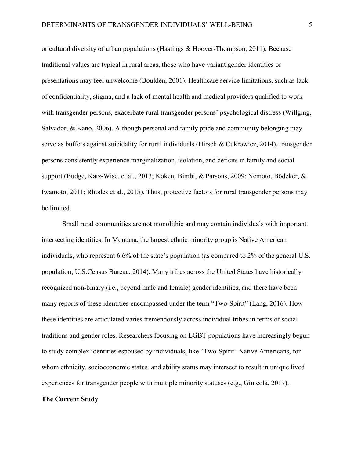or cultural diversity of urban populations (Hastings & Hoover-Thompson, 2011). Because traditional values are typical in rural areas, those who have variant gender identities or presentations may feel unwelcome (Boulden, 2001). Healthcare service limitations, such as lack of confidentiality, stigma, and a lack of mental health and medical providers qualified to work with transgender persons, exacerbate rural transgender persons' psychological distress (Willging, Salvador, & Kano, 2006). Although personal and family pride and community belonging may serve as buffers against suicidality for rural individuals (Hirsch & Cukrowicz, 2014), transgender persons consistently experience marginalization, isolation, and deficits in family and social support (Budge, Katz-Wise, et al., 2013; Koken, Bimbi, & Parsons, 2009; Nemoto, Bödeker, & Iwamoto, 2011; Rhodes et al., 2015). Thus, protective factors for rural transgender persons may be limited.

Small rural communities are not monolithic and may contain individuals with important intersecting identities. In Montana, the largest ethnic minority group is Native American individuals, who represent 6.6% of the state's population (as compared to 2% of the general U.S. population; U.S.Census Bureau, 2014). Many tribes across the United States have historically recognized non-binary (i.e., beyond male and female) gender identities, and there have been many reports of these identities encompassed under the term "Two-Spirit" (Lang, 2016). How these identities are articulated varies tremendously across individual tribes in terms of social traditions and gender roles. Researchers focusing on LGBT populations have increasingly begun to study complex identities espoused by individuals, like "Two-Spirit" Native Americans, for whom ethnicity, socioeconomic status, and ability status may intersect to result in unique lived experiences for transgender people with multiple minority statuses (e.g., Ginicola, 2017).

#### **The Current Study**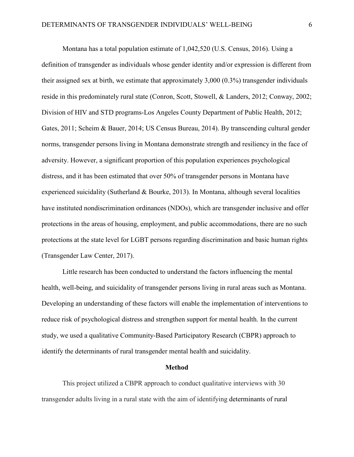Montana has a total population estimate of 1,042,520 (U.S. Census, 2016). Using a definition of transgender as individuals whose gender identity and/or expression is different from their assigned sex at birth, we estimate that approximately 3,000 (0.3%) transgender individuals reside in this predominately rural state (Conron, Scott, Stowell, & Landers, 2012; Conway, 2002; Division of HIV and STD programs-Los Angeles County Department of Public Health, 2012; Gates, 2011; Scheim & Bauer, 2014; US Census Bureau, 2014). By transcending cultural gender norms, transgender persons living in Montana demonstrate strength and resiliency in the face of adversity. However, a significant proportion of this population experiences psychological distress, and it has been estimated that over 50% of transgender persons in Montana have experienced suicidality (Sutherland & Bourke, 2013). In Montana, although several localities have instituted nondiscrimination ordinances (NDOs), which are transgender inclusive and offer protections in the areas of housing, employment, and public accommodations, there are no such protections at the state level for LGBT persons regarding discrimination and basic human rights (Transgender Law Center, 2017).

 Little research has been conducted to understand the factors influencing the mental health, well-being, and suicidality of transgender persons living in rural areas such as Montana. Developing an understanding of these factors will enable the implementation of interventions to reduce risk of psychological distress and strengthen support for mental health. In the current study, we used a qualitative Community-Based Participatory Research (CBPR) approach to identify the determinants of rural transgender mental health and suicidality.

#### **Method**

This project utilized a CBPR approach to conduct qualitative interviews with 30 transgender adults living in a rural state with the aim of identifying determinants of rural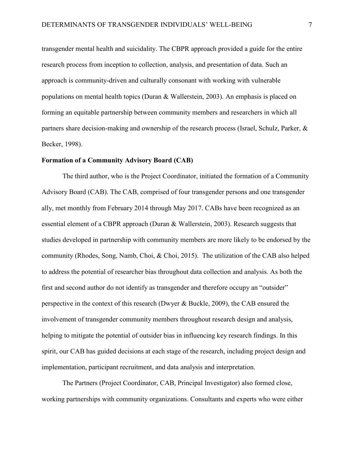transgender mental health and suicidality. The CBPR approach provided a guide for the entire research process from inception to collection, analysis, and presentation of data. Such an approach is community-driven and culturally consonant with working with vulnerable populations on mental health topics (Duran & Wallerstein, 2003). An emphasis is placed on forming an equitable partnership between community members and researchers in which all partners share decision-making and ownership of the research process (Israel, Schulz, Parker, & Becker, 1998).

#### **Formation of a Community Advisory Board (CAB)**

 The third author, who is the Project Coordinator, initiated the formation of a Community Advisory Board (CAB). The CAB, comprised of four transgender persons and one transgender ally, met monthly from February 2014 through May 2017. CABs have been recognized as an essential element of a CBPR approach (Duran & Wallerstein, 2003). Research suggests that studies developed in partnership with community members are more likely to be endorsed by the community (Rhodes, Song, Namb, Choi, & Choi, 2015). The utilization of the CAB also helped to address the potential of researcher bias throughout data collection and analysis. As both the first and second author do not identify as transgender and therefore occupy an "outsider" perspective in the context of this research (Dwyer & Buckle, 2009), the CAB ensured the involvement of transgender community members throughout research design and analysis, helping to mitigate the potential of outsider bias in influencing key research findings. In this spirit, our CAB has guided decisions at each stage of the research, including project design and implementation, participant recruitment, and data analysis and interpretation.

The Partners (Project Coordinator, CAB, Principal Investigator) also formed close, working partnerships with community organizations. Consultants and experts who were either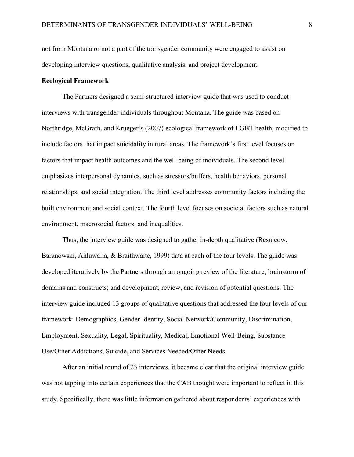not from Montana or not a part of the transgender community were engaged to assist on developing interview questions, qualitative analysis, and project development.

#### **Ecological Framework**

 The Partners designed a semi-structured interview guide that was used to conduct interviews with transgender individuals throughout Montana. The guide was based on Northridge, McGrath, and Krueger's (2007) ecological framework of LGBT health, modified to include factors that impact suicidality in rural areas. The framework's first level focuses on factors that impact health outcomes and the well-being of individuals. The second level emphasizes interpersonal dynamics, such as stressors/buffers, health behaviors, personal relationships, and social integration. The third level addresses community factors including the built environment and social context. The fourth level focuses on societal factors such as natural environment, macrosocial factors, and inequalities.

Thus, the interview guide was designed to gather in-depth qualitative (Resnicow, Baranowski, Ahluwalia, & Braithwaite, 1999) data at each of the four levels. The guide was developed iteratively by the Partners through an ongoing review of the literature; brainstorm of domains and constructs; and development, review, and revision of potential questions. The interview guide included 13 groups of qualitative questions that addressed the four levels of our framework: Demographics, Gender Identity, Social Network/Community, Discrimination, Employment, Sexuality, Legal, Spirituality, Medical, Emotional Well-Being, Substance Use/Other Addictions, Suicide, and Services Needed/Other Needs.

After an initial round of 23 interviews, it became clear that the original interview guide was not tapping into certain experiences that the CAB thought were important to reflect in this study. Specifically, there was little information gathered about respondents' experiences with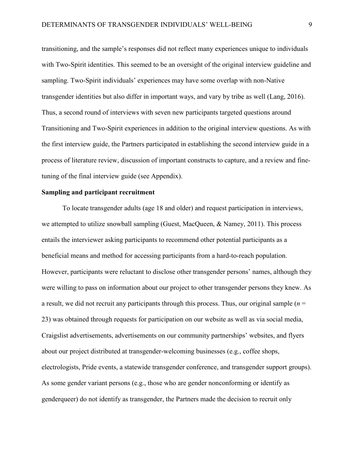transitioning, and the sample's responses did not reflect many experiences unique to individuals with Two-Spirit identities. This seemed to be an oversight of the original interview guideline and sampling. Two-Spirit individuals' experiences may have some overlap with non-Native transgender identities but also differ in important ways, and vary by tribe as well (Lang, 2016). Thus, a second round of interviews with seven new participants targeted questions around Transitioning and Two-Spirit experiences in addition to the original interview questions. As with the first interview guide, the Partners participated in establishing the second interview guide in a process of literature review, discussion of important constructs to capture, and a review and finetuning of the final interview guide (see Appendix).

#### **Sampling and participant recruitment**

 To locate transgender adults (age 18 and older) and request participation in interviews, we attempted to utilize snowball sampling (Guest, MacQueen, & Namey, 2011). This process entails the interviewer asking participants to recommend other potential participants as a beneficial means and method for accessing participants from a hard-to-reach population. However, participants were reluctant to disclose other transgender persons' names, although they were willing to pass on information about our project to other transgender persons they knew. As a result, we did not recruit any participants through this process. Thus, our original sample  $(n = 1)$ 23) was obtained through requests for participation on our website as well as via social media, Craigslist advertisements, advertisements on our community partnerships' websites, and flyers about our project distributed at transgender-welcoming businesses (e.g., coffee shops, electrologists, Pride events, a statewide transgender conference, and transgender support groups). As some gender variant persons (e.g., those who are gender nonconforming or identify as genderqueer) do not identify as transgender, the Partners made the decision to recruit only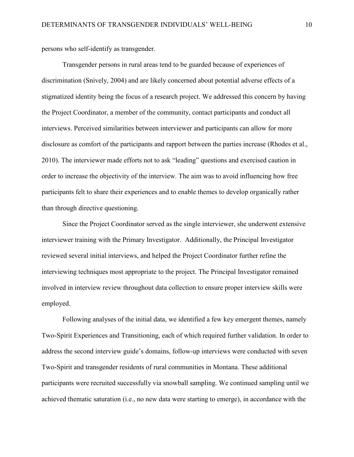persons who self-identify as transgender.

Transgender persons in rural areas tend to be guarded because of experiences of discrimination (Snively, 2004) and are likely concerned about potential adverse effects of a stigmatized identity being the focus of a research project. We addressed this concern by having the Project Coordinator, a member of the community, contact participants and conduct all interviews. Perceived similarities between interviewer and participants can allow for more disclosure as comfort of the participants and rapport between the parties increase (Rhodes et al., 2010). The interviewer made efforts not to ask "leading" questions and exercised caution in order to increase the objectivity of the interview. The aim was to avoid influencing how free participants felt to share their experiences and to enable themes to develop organically rather than through directive questioning.

Since the Project Coordinator served as the single interviewer, she underwent extensive interviewer training with the Primary Investigator. Additionally, the Principal Investigator reviewed several initial interviews, and helped the Project Coordinator further refine the interviewing techniques most appropriate to the project. The Principal Investigator remained involved in interview review throughout data collection to ensure proper interview skills were employed.

Following analyses of the initial data, we identified a few key emergent themes, namely Two-Spirit Experiences and Transitioning, each of which required further validation. In order to address the second interview guide's domains, follow-up interviews were conducted with seven Two-Spirit and transgender residents of rural communities in Montana. These additional participants were recruited successfully via snowball sampling. We continued sampling until we achieved thematic saturation (i.e., no new data were starting to emerge), in accordance with the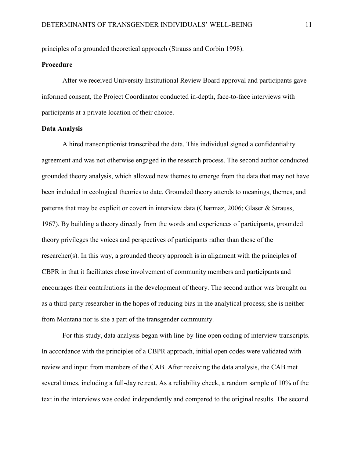principles of a grounded theoretical approach (Strauss and Corbin 1998).

#### **Procedure**

After we received University Institutional Review Board approval and participants gave informed consent, the Project Coordinator conducted in-depth, face-to-face interviews with participants at a private location of their choice.

#### **Data Analysis**

A hired transcriptionist transcribed the data. This individual signed a confidentiality agreement and was not otherwise engaged in the research process. The second author conducted grounded theory analysis, which allowed new themes to emerge from the data that may not have been included in ecological theories to date. Grounded theory attends to meanings, themes, and patterns that may be explicit or covert in interview data (Charmaz, 2006; Glaser & Strauss, 1967). By building a theory directly from the words and experiences of participants, grounded theory privileges the voices and perspectives of participants rather than those of the researcher(s). In this way, a grounded theory approach is in alignment with the principles of CBPR in that it facilitates close involvement of community members and participants and encourages their contributions in the development of theory. The second author was brought on as a third-party researcher in the hopes of reducing bias in the analytical process; she is neither from Montana nor is she a part of the transgender community.

 For this study, data analysis began with line-by-line open coding of interview transcripts. In accordance with the principles of a CBPR approach, initial open codes were validated with review and input from members of the CAB. After receiving the data analysis, the CAB met several times, including a full-day retreat. As a reliability check, a random sample of 10% of the text in the interviews was coded independently and compared to the original results. The second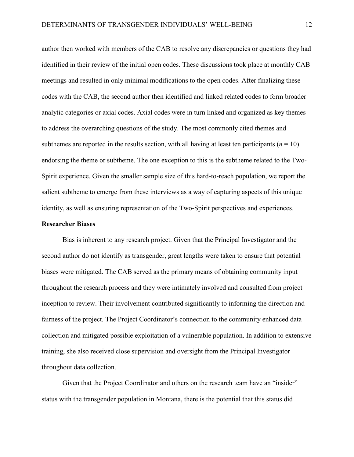author then worked with members of the CAB to resolve any discrepancies or questions they had identified in their review of the initial open codes. These discussions took place at monthly CAB meetings and resulted in only minimal modifications to the open codes. After finalizing these codes with the CAB, the second author then identified and linked related codes to form broader analytic categories or axial codes. Axial codes were in turn linked and organized as key themes to address the overarching questions of the study. The most commonly cited themes and subthemes are reported in the results section, with all having at least ten participants ( $n = 10$ ) endorsing the theme or subtheme. The one exception to this is the subtheme related to the Two-Spirit experience. Given the smaller sample size of this hard-to-reach population, we report the salient subtheme to emerge from these interviews as a way of capturing aspects of this unique identity, as well as ensuring representation of the Two-Spirit perspectives and experiences.

#### **Researcher Biases**

 Bias is inherent to any research project. Given that the Principal Investigator and the second author do not identify as transgender, great lengths were taken to ensure that potential biases were mitigated. The CAB served as the primary means of obtaining community input throughout the research process and they were intimately involved and consulted from project inception to review. Their involvement contributed significantly to informing the direction and fairness of the project. The Project Coordinator's connection to the community enhanced data collection and mitigated possible exploitation of a vulnerable population. In addition to extensive training, she also received close supervision and oversight from the Principal Investigator throughout data collection.

Given that the Project Coordinator and others on the research team have an "insider" status with the transgender population in Montana, there is the potential that this status did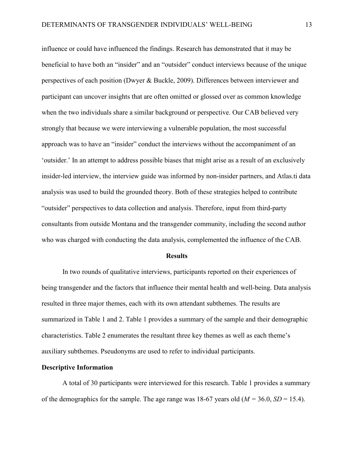influence or could have influenced the findings. Research has demonstrated that it may be beneficial to have both an "insider" and an "outsider" conduct interviews because of the unique perspectives of each position (Dwyer & Buckle, 2009). Differences between interviewer and participant can uncover insights that are often omitted or glossed over as common knowledge when the two individuals share a similar background or perspective. Our CAB believed very strongly that because we were interviewing a vulnerable population, the most successful approach was to have an "insider" conduct the interviews without the accompaniment of an 'outsider.' In an attempt to address possible biases that might arise as a result of an exclusively insider-led interview, the interview guide was informed by non-insider partners, and Atlas.ti data analysis was used to build the grounded theory. Both of these strategies helped to contribute "outsider" perspectives to data collection and analysis. Therefore, input from third-party consultants from outside Montana and the transgender community, including the second author who was charged with conducting the data analysis, complemented the influence of the CAB.

#### **Results**

In two rounds of qualitative interviews, participants reported on their experiences of being transgender and the factors that influence their mental health and well-being. Data analysis resulted in three major themes, each with its own attendant subthemes. The results are summarized in Table 1 and 2. Table 1 provides a summary of the sample and their demographic characteristics. Table 2 enumerates the resultant three key themes as well as each theme's auxiliary subthemes. Pseudonyms are used to refer to individual participants.

#### **Descriptive Information**

 A total of 30 participants were interviewed for this research. Table 1 provides a summary of the demographics for the sample. The age range was 18-67 years old  $(M = 36.0, SD = 15.4)$ .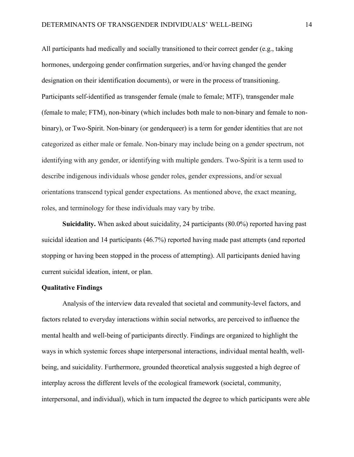All participants had medically and socially transitioned to their correct gender (e.g., taking hormones, undergoing gender confirmation surgeries, and/or having changed the gender designation on their identification documents), or were in the process of transitioning. Participants self-identified as transgender female (male to female; MTF), transgender male (female to male; FTM), non-binary (which includes both male to non-binary and female to nonbinary), or Two-Spirit. Non-binary (or genderqueer) is a term for gender identities that are not categorized as either male or female. Non-binary may include being on a gender spectrum, not identifying with any gender, or identifying with multiple genders. Two-Spirit is a term used to describe indigenous individuals whose gender roles, gender expressions, and/or sexual orientations transcend typical gender expectations. As mentioned above, the exact meaning, roles, and terminology for these individuals may vary by tribe.

**Suicidality.** When asked about suicidality, 24 participants (80.0%) reported having past suicidal ideation and 14 participants (46.7%) reported having made past attempts (and reported stopping or having been stopped in the process of attempting). All participants denied having current suicidal ideation, intent, or plan.

#### **Qualitative Findings**

Analysis of the interview data revealed that societal and community-level factors, and factors related to everyday interactions within social networks, are perceived to influence the mental health and well-being of participants directly. Findings are organized to highlight the ways in which systemic forces shape interpersonal interactions, individual mental health, wellbeing, and suicidality. Furthermore, grounded theoretical analysis suggested a high degree of interplay across the different levels of the ecological framework (societal, community, interpersonal, and individual), which in turn impacted the degree to which participants were able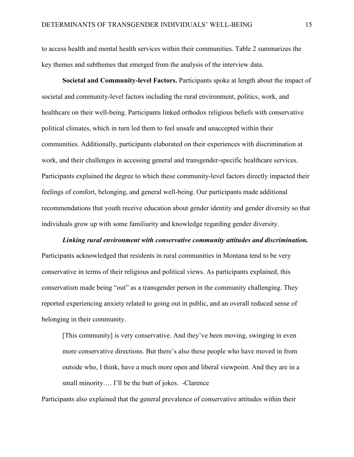to access health and mental health services within their communities. Table 2 summarizes the key themes and subthemes that emerged from the analysis of the interview data.

**Societal and Community-level Factors.** Participants spoke at length about the impact of societal and community-level factors including the rural environment, politics, work, and healthcare on their well-being. Participants linked orthodox religious beliefs with conservative political climates, which in turn led them to feel unsafe and unaccepted within their communities. Additionally, participants elaborated on their experiences with discrimination at work, and their challenges in accessing general and transgender-specific healthcare services. Participants explained the degree to which these community-level factors directly impacted their feelings of comfort, belonging, and general well-being. Our participants made additional recommendations that youth receive education about gender identity and gender diversity so that individuals grow up with some familiarity and knowledge regarding gender diversity.

*Linking rural environment with conservative community attitudes and discrimination.*  Participants acknowledged that residents in rural communities in Montana tend to be very conservative in terms of their religious and political views. As participants explained, this conservatism made being "out" as a transgender person in the community challenging. They reported experiencing anxiety related to going out in public, and an overall reduced sense of belonging in their community.

[This community] is very conservative. And they've been moving, swinging in even more conservative directions. But there's also these people who have moved in from outside who, I think, have a much more open and liberal viewpoint. And they are in a small minority.... I'll be the butt of jokes. -Clarence

Participants also explained that the general prevalence of conservative attitudes within their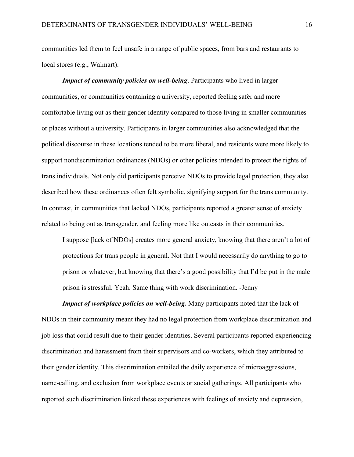communities led them to feel unsafe in a range of public spaces, from bars and restaurants to local stores (e.g., Walmart).

*Impact of community policies on well-being*. Participants who lived in larger communities, or communities containing a university, reported feeling safer and more comfortable living out as their gender identity compared to those living in smaller communities or places without a university. Participants in larger communities also acknowledged that the political discourse in these locations tended to be more liberal, and residents were more likely to support nondiscrimination ordinances (NDOs) or other policies intended to protect the rights of trans individuals. Not only did participants perceive NDOs to provide legal protection, they also described how these ordinances often felt symbolic, signifying support for the trans community. In contrast, in communities that lacked NDOs, participants reported a greater sense of anxiety related to being out as transgender, and feeling more like outcasts in their communities.

I suppose [lack of NDOs] creates more general anxiety, knowing that there aren't a lot of protections for trans people in general. Not that I would necessarily do anything to go to prison or whatever, but knowing that there's a good possibility that I'd be put in the male prison is stressful. Yeah. Same thing with work discrimination. -Jenny

*Impact of workplace policies on well-being.* Many participants noted that the lack of NDOs in their community meant they had no legal protection from workplace discrimination and job loss that could result due to their gender identities. Several participants reported experiencing discrimination and harassment from their supervisors and co-workers, which they attributed to their gender identity. This discrimination entailed the daily experience of microaggressions, name-calling, and exclusion from workplace events or social gatherings. All participants who reported such discrimination linked these experiences with feelings of anxiety and depression,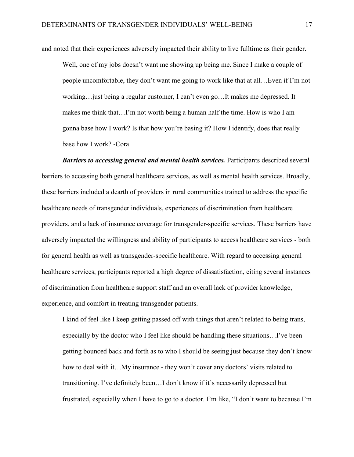and noted that their experiences adversely impacted their ability to live fulltime as their gender.

Well, one of my jobs doesn't want me showing up being me. Since I make a couple of people uncomfortable, they don't want me going to work like that at all…Even if I'm not working…just being a regular customer, I can't even go…It makes me depressed. It makes me think that…I'm not worth being a human half the time. How is who I am gonna base how I work? Is that how you're basing it? How I identify, does that really base how I work? -Cora

**Barriers to accessing general and mental health services.** Participants described several barriers to accessing both general healthcare services, as well as mental health services. Broadly, these barriers included a dearth of providers in rural communities trained to address the specific healthcare needs of transgender individuals, experiences of discrimination from healthcare providers, and a lack of insurance coverage for transgender-specific services. These barriers have adversely impacted the willingness and ability of participants to access healthcare services - both for general health as well as transgender-specific healthcare. With regard to accessing general healthcare services, participants reported a high degree of dissatisfaction, citing several instances of discrimination from healthcare support staff and an overall lack of provider knowledge, experience, and comfort in treating transgender patients.

I kind of feel like I keep getting passed off with things that aren't related to being trans, especially by the doctor who I feel like should be handling these situations…I've been getting bounced back and forth as to who I should be seeing just because they don't know how to deal with it…My insurance - they won't cover any doctors' visits related to transitioning. I've definitely been…I don't know if it's necessarily depressed but frustrated, especially when I have to go to a doctor. I'm like, "I don't want to because I'm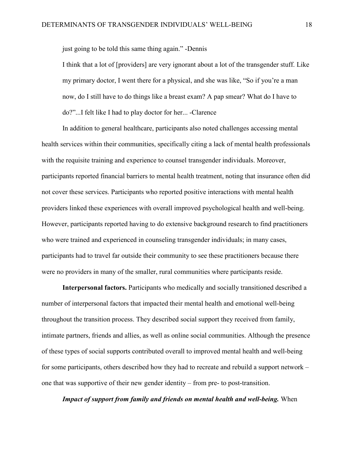just going to be told this same thing again." -Dennis

I think that a lot of [providers] are very ignorant about a lot of the transgender stuff. Like my primary doctor, I went there for a physical, and she was like, "So if you're a man now, do I still have to do things like a breast exam? A pap smear? What do I have to do?"...I felt like I had to play doctor for her... -Clarence

In addition to general healthcare, participants also noted challenges accessing mental health services within their communities, specifically citing a lack of mental health professionals with the requisite training and experience to counsel transgender individuals. Moreover, participants reported financial barriers to mental health treatment, noting that insurance often did not cover these services. Participants who reported positive interactions with mental health providers linked these experiences with overall improved psychological health and well-being. However, participants reported having to do extensive background research to find practitioners who were trained and experienced in counseling transgender individuals; in many cases, participants had to travel far outside their community to see these practitioners because there were no providers in many of the smaller, rural communities where participants reside.

**Interpersonal factors.** Participants who medically and socially transitioned described a number of interpersonal factors that impacted their mental health and emotional well-being throughout the transition process. They described social support they received from family, intimate partners, friends and allies, as well as online social communities. Although the presence of these types of social supports contributed overall to improved mental health and well-being for some participants, others described how they had to recreate and rebuild a support network – one that was supportive of their new gender identity – from pre- to post-transition.

*Impact of support from family and friends on mental health and well-being.* When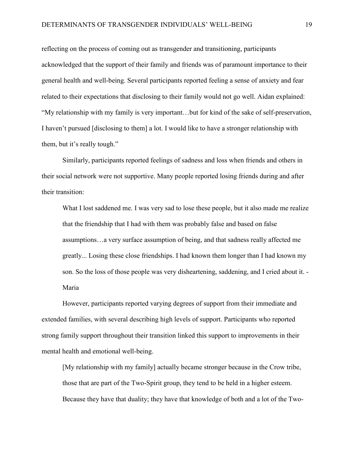reflecting on the process of coming out as transgender and transitioning, participants acknowledged that the support of their family and friends was of paramount importance to their general health and well-being. Several participants reported feeling a sense of anxiety and fear related to their expectations that disclosing to their family would not go well. Aidan explained: "My relationship with my family is very important…but for kind of the sake of self-preservation, I haven't pursued [disclosing to them] a lot. I would like to have a stronger relationship with them, but it's really tough."

Similarly, participants reported feelings of sadness and loss when friends and others in their social network were not supportive. Many people reported losing friends during and after their transition:

What I lost saddened me. I was very sad to lose these people, but it also made me realize that the friendship that I had with them was probably false and based on false assumptions…a very surface assumption of being, and that sadness really affected me greatly... Losing these close friendships. I had known them longer than I had known my son. So the loss of those people was very disheartening, saddening, and I cried about it. - Maria

However, participants reported varying degrees of support from their immediate and extended families, with several describing high levels of support. Participants who reported strong family support throughout their transition linked this support to improvements in their mental health and emotional well-being.

[My relationship with my family] actually became stronger because in the Crow tribe, those that are part of the Two-Spirit group, they tend to be held in a higher esteem. Because they have that duality; they have that knowledge of both and a lot of the Two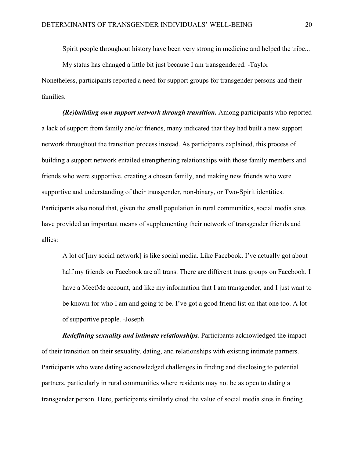Spirit people throughout history have been very strong in medicine and helped the tribe...

My status has changed a little bit just because I am transgendered. -Taylor Nonetheless, participants reported a need for support groups for transgender persons and their families.

*(Re)building own support network through transition.* Among participants who reported a lack of support from family and/or friends, many indicated that they had built a new support network throughout the transition process instead. As participants explained, this process of building a support network entailed strengthening relationships with those family members and friends who were supportive, creating a chosen family, and making new friends who were supportive and understanding of their transgender, non-binary, or Two-Spirit identities. Participants also noted that, given the small population in rural communities, social media sites have provided an important means of supplementing their network of transgender friends and allies:

A lot of [my social network] is like social media. Like Facebook. I've actually got about half my friends on Facebook are all trans. There are different trans groups on Facebook. I have a MeetMe account, and like my information that I am transgender, and I just want to be known for who I am and going to be. I've got a good friend list on that one too. A lot of supportive people. -Joseph

 *Redefining sexuality and intimate relationships.* Participants acknowledged the impact of their transition on their sexuality, dating, and relationships with existing intimate partners. Participants who were dating acknowledged challenges in finding and disclosing to potential partners, particularly in rural communities where residents may not be as open to dating a transgender person. Here, participants similarly cited the value of social media sites in finding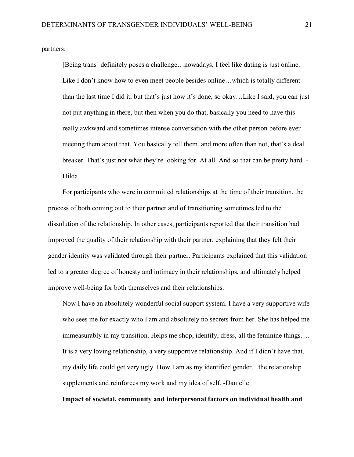partners:

[Being trans] definitely poses a challenge…nowadays, I feel like dating is just online. Like I don't know how to even meet people besides online…which is totally different than the last time I did it, but that's just how it's done, so okay…Like I said, you can just not put anything in there, but then when you do that, basically you need to have this really awkward and sometimes intense conversation with the other person before ever meeting them about that. You basically tell them, and more often than not, that's a deal breaker. That's just not what they're looking for. At all. And so that can be pretty hard. - Hilda

For participants who were in committed relationships at the time of their transition, the process of both coming out to their partner and of transitioning sometimes led to the dissolution of the relationship. In other cases, participants reported that their transition had improved the quality of their relationship with their partner, explaining that they felt their gender identity was validated through their partner. Participants explained that this validation led to a greater degree of honesty and intimacy in their relationships, and ultimately helped improve well-being for both themselves and their relationships.

Now I have an absolutely wonderful social support system. I have a very supportive wife who sees me for exactly who I am and absolutely no secrets from her. She has helped me immeasurably in my transition. Helps me shop, identify, dress, all the feminine things…. It is a very loving relationship, a very supportive relationship. And if I didn't have that, my daily life could get very ugly. How I am as my identified gender…the relationship supplements and reinforces my work and my idea of self. -Danielle

 **Impact of societal, community and interpersonal factors on individual health and**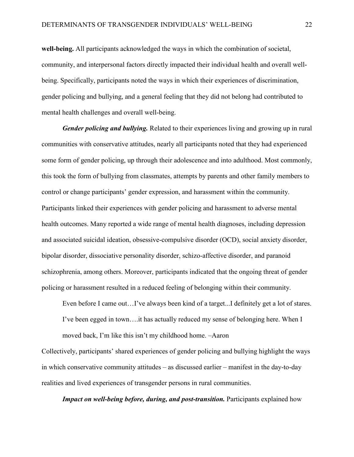**well-being.** All participants acknowledged the ways in which the combination of societal, community, and interpersonal factors directly impacted their individual health and overall wellbeing. Specifically, participants noted the ways in which their experiences of discrimination, gender policing and bullying, and a general feeling that they did not belong had contributed to mental health challenges and overall well-being.

 *Gender policing and bullying.* Related to their experiences living and growing up in rural communities with conservative attitudes, nearly all participants noted that they had experienced some form of gender policing, up through their adolescence and into adulthood. Most commonly, this took the form of bullying from classmates, attempts by parents and other family members to control or change participants' gender expression, and harassment within the community. Participants linked their experiences with gender policing and harassment to adverse mental health outcomes. Many reported a wide range of mental health diagnoses, including depression and associated suicidal ideation, obsessive-compulsive disorder (OCD), social anxiety disorder, bipolar disorder, dissociative personality disorder, schizo-affective disorder, and paranoid schizophrenia, among others. Moreover, participants indicated that the ongoing threat of gender policing or harassment resulted in a reduced feeling of belonging within their community.

Even before I came out...I've always been kind of a target...I definitely get a lot of stares. I've been egged in town….it has actually reduced my sense of belonging here. When I moved back, I'm like this isn't my childhood home. –Aaron

Collectively, participants' shared experiences of gender policing and bullying highlight the ways in which conservative community attitudes – as discussed earlier – manifest in the day-to-day realities and lived experiences of transgender persons in rural communities.

*Impact on well-being before, during, and post-transition.* Participants explained how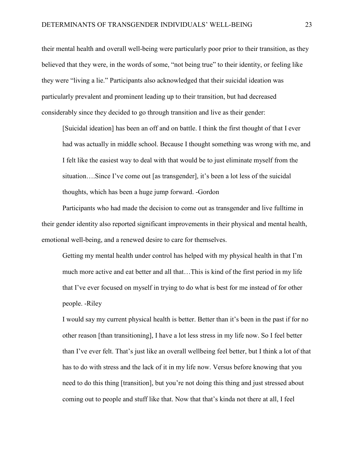their mental health and overall well-being were particularly poor prior to their transition, as they believed that they were, in the words of some, "not being true" to their identity, or feeling like they were "living a lie." Participants also acknowledged that their suicidal ideation was particularly prevalent and prominent leading up to their transition, but had decreased considerably since they decided to go through transition and live as their gender:

[Suicidal ideation] has been an off and on battle. I think the first thought of that I ever had was actually in middle school. Because I thought something was wrong with me, and I felt like the easiest way to deal with that would be to just eliminate myself from the situation….Since I've come out [as transgender], it's been a lot less of the suicidal thoughts, which has been a huge jump forward. -Gordon

Participants who had made the decision to come out as transgender and live fulltime in their gender identity also reported significant improvements in their physical and mental health, emotional well-being, and a renewed desire to care for themselves.

Getting my mental health under control has helped with my physical health in that I'm much more active and eat better and all that…This is kind of the first period in my life that I've ever focused on myself in trying to do what is best for me instead of for other people. -Riley

I would say my current physical health is better. Better than it's been in the past if for no other reason [than transitioning], I have a lot less stress in my life now. So I feel better than I've ever felt. That's just like an overall wellbeing feel better, but I think a lot of that has to do with stress and the lack of it in my life now. Versus before knowing that you need to do this thing [transition], but you're not doing this thing and just stressed about coming out to people and stuff like that. Now that that's kinda not there at all, I feel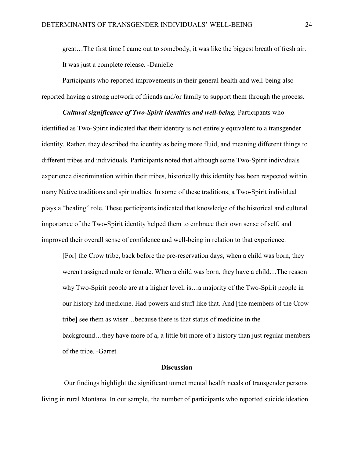great…The first time I came out to somebody, it was like the biggest breath of fresh air. It was just a complete release. -Danielle

 Participants who reported improvements in their general health and well-being also reported having a strong network of friends and/or family to support them through the process.

*Cultural significance of Two-Spirit identities and well-being.* Participants who identified as Two-Spirit indicated that their identity is not entirely equivalent to a transgender identity. Rather, they described the identity as being more fluid, and meaning different things to different tribes and individuals. Participants noted that although some Two-Spirit individuals experience discrimination within their tribes, historically this identity has been respected within many Native traditions and spiritualties. In some of these traditions, a Two-Spirit individual plays a "healing" role. These participants indicated that knowledge of the historical and cultural importance of the Two-Spirit identity helped them to embrace their own sense of self, and improved their overall sense of confidence and well-being in relation to that experience.

[For] the Crow tribe, back before the pre-reservation days, when a child was born, they weren't assigned male or female. When a child was born, they have a child…The reason why Two-Spirit people are at a higher level, is…a majority of the Two-Spirit people in our history had medicine. Had powers and stuff like that. And [the members of the Crow tribe] see them as wiser…because there is that status of medicine in the background…they have more of a, a little bit more of a history than just regular members of the tribe. -Garret

#### **Discussion**

 Our findings highlight the significant unmet mental health needs of transgender persons living in rural Montana. In our sample, the number of participants who reported suicide ideation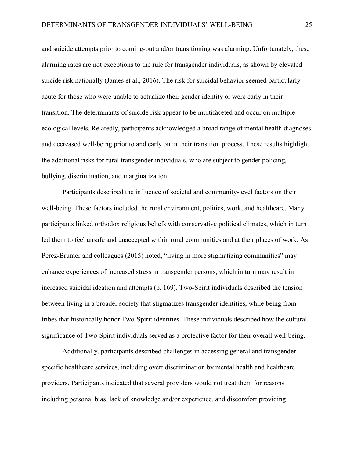and suicide attempts prior to coming-out and/or transitioning was alarming. Unfortunately, these alarming rates are not exceptions to the rule for transgender individuals, as shown by elevated suicide risk nationally (James et al., 2016). The risk for suicidal behavior seemed particularly acute for those who were unable to actualize their gender identity or were early in their transition. The determinants of suicide risk appear to be multifaceted and occur on multiple ecological levels. Relatedly, participants acknowledged a broad range of mental health diagnoses and decreased well-being prior to and early on in their transition process. These results highlight the additional risks for rural transgender individuals, who are subject to gender policing, bullying, discrimination, and marginalization.

Participants described the influence of societal and community-level factors on their well-being. These factors included the rural environment, politics, work, and healthcare. Many participants linked orthodox religious beliefs with conservative political climates, which in turn led them to feel unsafe and unaccepted within rural communities and at their places of work. As Perez-Brumer and colleagues (2015) noted, "living in more stigmatizing communities" may enhance experiences of increased stress in transgender persons, which in turn may result in increased suicidal ideation and attempts (p. 169). Two-Spirit individuals described the tension between living in a broader society that stigmatizes transgender identities, while being from tribes that historically honor Two-Spirit identities. These individuals described how the cultural significance of Two-Spirit individuals served as a protective factor for their overall well-being.

Additionally, participants described challenges in accessing general and transgenderspecific healthcare services, including overt discrimination by mental health and healthcare providers. Participants indicated that several providers would not treat them for reasons including personal bias, lack of knowledge and/or experience, and discomfort providing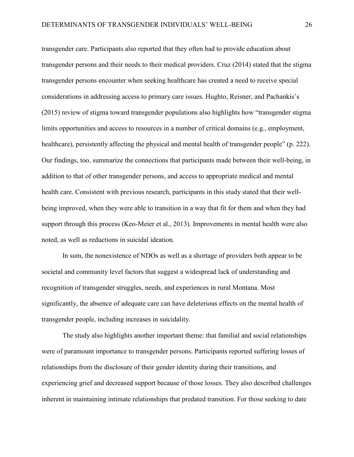transgender care. Participants also reported that they often had to provide education about transgender persons and their needs to their medical providers. Cruz (2014) stated that the stigma transgender persons encounter when seeking healthcare has created a need to receive special considerations in addressing access to primary care issues. Hughto, Reisner, and Pachankis's (2015) review of stigma toward transgender populations also highlights how "transgender stigma limits opportunities and access to resources in a number of critical domains (e.g., employment, healthcare), persistently affecting the physical and mental health of transgender people" (p. 222). Our findings, too, summarize the connections that participants made between their well-being, in addition to that of other transgender persons, and access to appropriate medical and mental health care. Consistent with previous research, participants in this study stated that their wellbeing improved, when they were able to transition in a way that fit for them and when they had support through this process (Keo-Meier et al., 2013). Improvements in mental health were also noted, as well as reductions in suicidal ideation.

In sum, the nonexistence of NDOs as well as a shortage of providers both appear to be societal and community level factors that suggest a widespread lack of understanding and recognition of transgender struggles, needs, and experiences in rural Montana. Most significantly, the absence of adequate care can have deleterious effects on the mental health of transgender people, including increases in suicidality.

 The study also highlights another important theme: that familial and social relationships were of paramount importance to transgender persons. Participants reported suffering losses of relationships from the disclosure of their gender identity during their transitions, and experiencing grief and decreased support because of those losses. They also described challenges inherent in maintaining intimate relationships that predated transition. For those seeking to date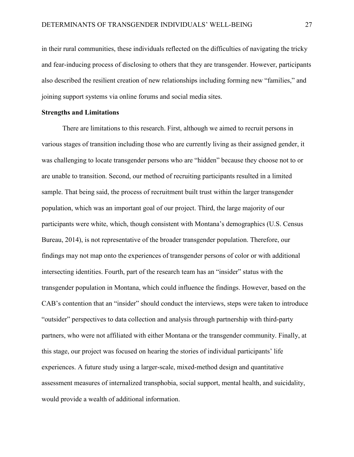in their rural communities, these individuals reflected on the difficulties of navigating the tricky and fear-inducing process of disclosing to others that they are transgender. However, participants also described the resilient creation of new relationships including forming new "families," and joining support systems via online forums and social media sites.

#### **Strengths and Limitations**

There are limitations to this research. First, although we aimed to recruit persons in various stages of transition including those who are currently living as their assigned gender, it was challenging to locate transgender persons who are "hidden" because they choose not to or are unable to transition. Second, our method of recruiting participants resulted in a limited sample. That being said, the process of recruitment built trust within the larger transgender population, which was an important goal of our project. Third, the large majority of our participants were white, which, though consistent with Montana's demographics (U.S. Census Bureau, 2014), is not representative of the broader transgender population. Therefore, our findings may not map onto the experiences of transgender persons of color or with additional intersecting identities. Fourth, part of the research team has an "insider" status with the transgender population in Montana, which could influence the findings. However, based on the CAB's contention that an "insider" should conduct the interviews, steps were taken to introduce "outsider" perspectives to data collection and analysis through partnership with third-party partners, who were not affiliated with either Montana or the transgender community. Finally, at this stage, our project was focused on hearing the stories of individual participants' life experiences. A future study using a larger-scale, mixed-method design and quantitative assessment measures of internalized transphobia, social support, mental health, and suicidality, would provide a wealth of additional information.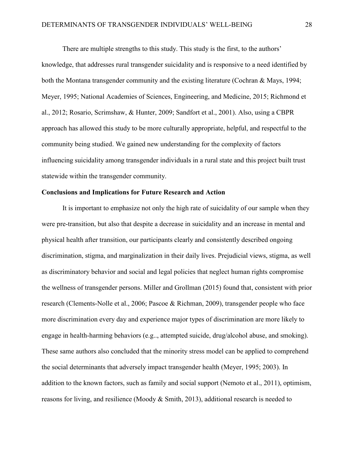There are multiple strengths to this study. This study is the first, to the authors' knowledge, that addresses rural transgender suicidality and is responsive to a need identified by both the Montana transgender community and the existing literature (Cochran & Mays, 1994; Meyer, 1995; National Academies of Sciences, Engineering, and Medicine, 2015; Richmond et al., 2012; Rosario, Scrimshaw, & Hunter, 2009; Sandfort et al., 2001). Also, using a CBPR approach has allowed this study to be more culturally appropriate, helpful, and respectful to the community being studied. We gained new understanding for the complexity of factors influencing suicidality among transgender individuals in a rural state and this project built trust statewide within the transgender community.

#### **Conclusions and Implications for Future Research and Action**

 It is important to emphasize not only the high rate of suicidality of our sample when they were pre-transition, but also that despite a decrease in suicidality and an increase in mental and physical health after transition, our participants clearly and consistently described ongoing discrimination, stigma, and marginalization in their daily lives. Prejudicial views, stigma, as well as discriminatory behavior and social and legal policies that neglect human rights compromise the wellness of transgender persons. Miller and Grollman (2015) found that, consistent with prior research (Clements-Nolle et al., 2006; Pascoe & Richman, 2009), transgender people who face more discrimination every day and experience major types of discrimination are more likely to engage in health-harming behaviors (e.g.., attempted suicide, drug/alcohol abuse, and smoking). These same authors also concluded that the minority stress model can be applied to comprehend the social determinants that adversely impact transgender health (Meyer, 1995; 2003). In addition to the known factors, such as family and social support (Nemoto et al., 2011), optimism, reasons for living, and resilience (Moody & Smith, 2013), additional research is needed to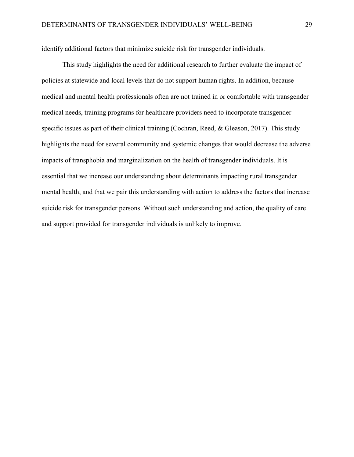identify additional factors that minimize suicide risk for transgender individuals.

 This study highlights the need for additional research to further evaluate the impact of policies at statewide and local levels that do not support human rights. In addition, because medical and mental health professionals often are not trained in or comfortable with transgender medical needs, training programs for healthcare providers need to incorporate transgenderspecific issues as part of their clinical training (Cochran, Reed, & Gleason, 2017). This study highlights the need for several community and systemic changes that would decrease the adverse impacts of transphobia and marginalization on the health of transgender individuals. It is essential that we increase our understanding about determinants impacting rural transgender mental health, and that we pair this understanding with action to address the factors that increase suicide risk for transgender persons. Without such understanding and action, the quality of care and support provided for transgender individuals is unlikely to improve.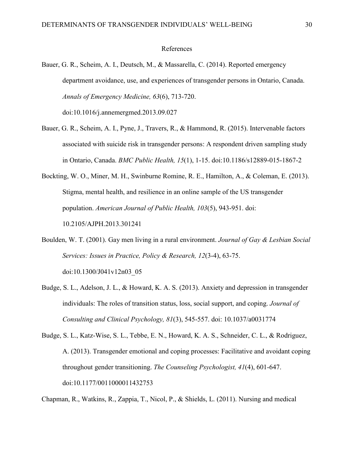#### References

- Bauer, G. R., Scheim, A. I., Deutsch, M., & Massarella, C. (2014). Reported emergency department avoidance, use, and experiences of transgender persons in Ontario, Canada. *Annals of Emergency Medicine, 63*(6), 713-720. doi:10.1016/j.annemergmed.2013.09.027
- Bauer, G. R., Scheim, A. I., Pyne, J., Travers, R., & Hammond, R. (2015). Intervenable factors associated with suicide risk in transgender persons: A respondent driven sampling study in Ontario, Canada. *BMC Public Health, 15*(1), 1-15. doi:10.1186/s12889-015-1867-2
- Bockting, W. O., Miner, M. H., Swinburne Romine, R. E., Hamilton, A., & Coleman, E. (2013). Stigma, mental health, and resilience in an online sample of the US transgender population. *American Journal of Public Health, 103*(5), 943-951. doi: 10.2105/AJPH.2013.301241
- Boulden, W. T. (2001). Gay men living in a rural environment. *Journal of Gay & Lesbian Social Services: Issues in Practice, Policy & Research, 12*(3-4), 63-75. doi:10.1300/J041v12n03\_05
- Budge, S. L., Adelson, J. L., & Howard, K. A. S. (2013). Anxiety and depression in transgender individuals: The roles of transition status, loss, social support, and coping. *Journal of Consulting and Clinical Psychology, 81*(3), 545-557. doi: 10.1037/a0031774
- Budge, S. L., Katz-Wise, S. L., Tebbe, E. N., Howard, K. A. S., Schneider, C. L., & Rodriguez, A. (2013). Transgender emotional and coping processes: Facilitative and avoidant coping throughout gender transitioning. *The Counseling Psychologist, 41*(4), 601-647. doi:10.1177/0011000011432753

Chapman, R., Watkins, R., Zappia, T., Nicol, P., & Shields, L. (2011). Nursing and medical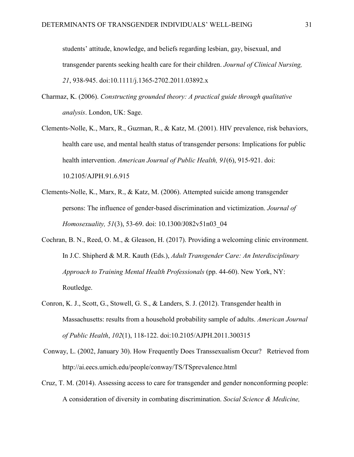students' attitude, knowledge, and beliefs regarding lesbian, gay, bisexual, and transgender parents seeking health care for their children. *Journal of Clinical Nursing, 21*, 938-945. doi:10.1111/j.1365-2702.2011.03892.x

- Charmaz, K. (2006). *Constructing grounded theory: A practical guide through qualitative analysis*. London, UK: Sage.
- Clements-Nolle, K., Marx, R., Guzman, R., & Katz, M. (2001). HIV prevalence, risk behaviors, health care use, and mental health status of transgender persons: Implications for public health intervention. *American Journal of Public Health, 91*(6), 915-921. doi: 10.2105/AJPH.91.6.915
- Clements-Nolle, K., Marx, R., & Katz, M. (2006). Attempted suicide among transgender persons: The influence of gender-based discrimination and victimization. *Journal of Homosexuality, 51*(3), 53-69. doi: 10.1300/J082v51n03\_04
- Cochran, B. N., Reed, O. M., & Gleason, H. (2017). Providing a welcoming clinic environment. In J.C. Shipherd & M.R. Kauth (Eds.), *Adult Transgender Care: An Interdisciplinary Approach to Training Mental Health Professionals* (pp. 44-60). New York, NY: Routledge.
- Conron, K. J., Scott, G., Stowell, G. S., & Landers, S. J. (2012). Transgender health in Massachusetts: results from a household probability sample of adults. *American Journal of Public Health*, *102*(1), 118-122. doi:10.2105/AJPH.2011.300315
- Conway, L. (2002, January 30). How Frequently Does Transsexualism Occur? Retrieved from http://ai.eecs.umich.edu/people/conway/TS/TSprevalence.html
- Cruz, T. M. (2014). Assessing access to care for transgender and gender nonconforming people: A consideration of diversity in combating discrimination. *Social Science & Medicine,*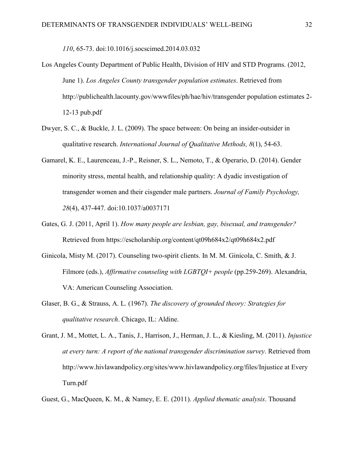*110*, 65-73. doi:10.1016/j.socscimed.2014.03.032

- Los Angeles County Department of Public Health, Division of HIV and STD Programs. (2012, June 1). *Los Angeles County transgender population estimates*. Retrieved from http://publichealth.lacounty.gov/wwwfiles/ph/hae/hiv/transgender population estimates 2- 12-13 pub.pdf
- Dwyer, S. C., & Buckle, J. L. (2009). The space between: On being an insider-outsider in qualitative research. *International Journal of Qualitative Methods, 8*(1), 54-63.
- Gamarel, K. E., Laurenceau, J.-P., Reisner, S. L., Nemoto, T., & Operario, D. (2014). Gender minority stress, mental health, and relationship quality: A dyadic investigation of transgender women and their cisgender male partners. *Journal of Family Psychology, 28*(4), 437-447. doi:10.1037/a0037171
- Gates, G. J. (2011, April 1). *How many people are lesbian, gay, bisexual, and transgender?* Retrieved from https://escholarship.org/content/qt09h684x2/qt09h684x2.pdf
- Ginicola, Misty M. (2017). Counseling two-spirit clients. In M. M. Ginicola, C. Smith, & J. Filmore (eds.), *Affirmative counseling with LGBTQI+ people* (pp.259-269). Alexandria, VA: American Counseling Association.
- Glaser, B. G., & Strauss, A. L. (1967). *The discovery of grounded theory: Strategies for qualitative research*. Chicago, IL: Aldine.
- Grant, J. M., Mottet, L. A., Tanis, J., Harrison, J., Herman, J. L., & Kiesling, M. (2011). *Injustice at every turn: A report of the national transgender discrimination survey*. Retrieved from http://www.hivlawandpolicy.org/sites/www.hivlawandpolicy.org/files/Injustice at Every Turn.pdf
- Guest, G., MacQueen, K. M., & Namey, E. E. (2011). *Applied thematic analysis*. Thousand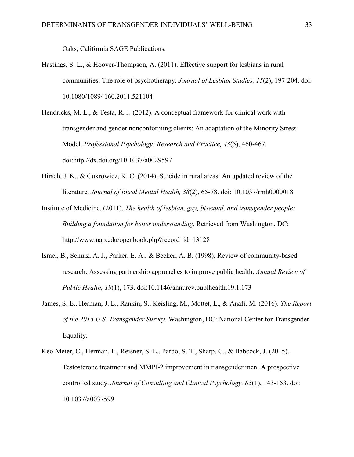Oaks, California SAGE Publications.

- Hastings, S. L., & Hoover-Thompson, A. (2011). Effective support for lesbians in rural communities: The role of psychotherapy. *Journal of Lesbian Studies, 15*(2), 197-204. doi: 10.1080/10894160.2011.521104
- Hendricks, M. L., & Testa, R. J. (2012). A conceptual framework for clinical work with transgender and gender nonconforming clients: An adaptation of the Minority Stress Model. *Professional Psychology: Research and Practice, 43*(5), 460-467. doi:http://dx.doi.org/10.1037/a0029597
- Hirsch, J. K., & Cukrowicz, K. C. (2014). Suicide in rural areas: An updated review of the literature. *Journal of Rural Mental Health, 38*(2), 65-78. doi: 10.1037/rmh0000018
- Institute of Medicine. (2011). *The health of lesbian, gay, bisexual, and transgender people: Building a foundation for better understanding*. Retrieved from Washington, DC: http://www.nap.edu/openbook.php?record\_id=13128
- Israel, B., Schulz, A. J., Parker, E. A., & Becker, A. B. (1998). Review of community-based research: Assessing partnership approaches to improve public health. *Annual Review of Public Health, 19*(1), 173. doi:10.1146/annurev.publhealth.19.1.173
- James, S. E., Herman, J. L., Rankin, S., Keisling, M., Mottet, L., & Anafi, M. (2016). *The Report of the 2015 U.S. Transgender Survey*. Washington, DC: National Center for Transgender Equality.
- Keo-Meier, C., Herman, L., Reisner, S. L., Pardo, S. T., Sharp, C., & Babcock, J. (2015). Testosterone treatment and MMPI-2 improvement in transgender men: A prospective controlled study. *Journal of Consulting and Clinical Psychology, 83*(1), 143-153. doi: 10.1037/a0037599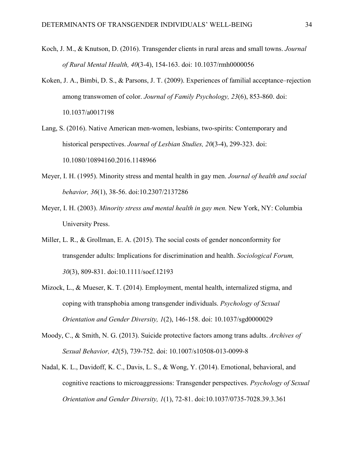- Koch, J. M., & Knutson, D. (2016). Transgender clients in rural areas and small towns. *Journal of Rural Mental Health, 40*(3-4), 154-163. doi: 10.1037/rmh0000056
- Koken, J. A., Bimbi, D. S., & Parsons, J. T. (2009). Experiences of familial acceptance–rejection among transwomen of color. *Journal of Family Psychology, 23*(6), 853-860. doi: 10.1037/a0017198
- Lang, S. (2016). Native American men-women, lesbians, two-spirits: Contemporary and historical perspectives. *Journal of Lesbian Studies, 20*(3-4), 299-323. doi: 10.1080/10894160.2016.1148966
- Meyer, I. H. (1995). Minority stress and mental health in gay men. *Journal of health and social behavior, 36*(1), 38-56. doi:10.2307/2137286
- Meyer, I. H. (2003). *Minority stress and mental health in gay men.* New York, NY: Columbia University Press.
- Miller, L. R., & Grollman, E. A. (2015). The social costs of gender nonconformity for transgender adults: Implications for discrimination and health. *Sociological Forum, 30*(3), 809-831. doi:10.1111/socf.12193
- Mizock, L., & Mueser, K. T. (2014). Employment, mental health, internalized stigma, and coping with transphobia among transgender individuals. *Psychology of Sexual Orientation and Gender Diversity, 1*(2), 146-158. doi: 10.1037/sgd0000029
- Moody, C., & Smith, N. G. (2013). Suicide protective factors among trans adults. *Archives of Sexual Behavior, 42*(5), 739-752. doi: 10.1007/s10508-013-0099-8
- Nadal, K. L., Davidoff, K. C., Davis, L. S., & Wong, Y. (2014). Emotional, behavioral, and cognitive reactions to microaggressions: Transgender perspectives. *Psychology of Sexual Orientation and Gender Diversity, 1*(1), 72-81. doi:10.1037/0735-7028.39.3.361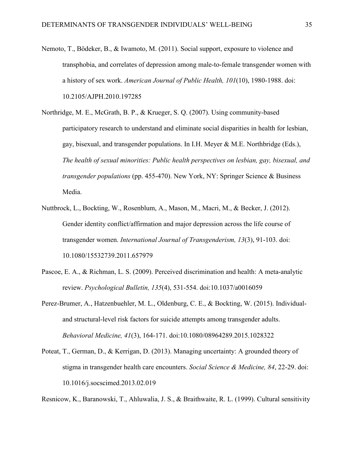- Nemoto, T., Bödeker, B., & Iwamoto, M. (2011). Social support, exposure to violence and transphobia, and correlates of depression among male-to-female transgender women with a history of sex work. *American Journal of Public Health, 101*(10), 1980-1988. doi: 10.2105/AJPH.2010.197285
- Northridge, M. E., McGrath, B. P., & Krueger, S. Q. (2007). Using community-based participatory research to understand and eliminate social disparities in health for lesbian, gay, bisexual, and transgender populations. In I.H. Meyer & M.E. Northbridge (Eds.), *The health of sexual minorities: Public health perspectives on lesbian, gay, bisexual, and transgender populations* (pp. 455-470). New York, NY: Springer Science & Business Media.
- Nuttbrock, L., Bockting, W., Rosenblum, A., Mason, M., Macri, M., & Becker, J. (2012). Gender identity conflict/affirmation and major depression across the life course of transgender women. *International Journal of Transgenderism, 13*(3), 91-103. doi: 10.1080/15532739.2011.657979
- Pascoe, E. A., & Richman, L. S. (2009). Perceived discrimination and health: A meta-analytic review. *Psychological Bulletin, 135*(4), 531-554. doi:10.1037/a0016059
- Perez-Brumer, A., Hatzenbuehler, M. L., Oldenburg, C. E., & Bockting, W. (2015). Individualand structural-level risk factors for suicide attempts among transgender adults. *Behavioral Medicine, 41*(3), 164-171. doi:10.1080/08964289.2015.1028322
- Poteat, T., German, D., & Kerrigan, D. (2013). Managing uncertainty: A grounded theory of stigma in transgender health care encounters. *Social Science & Medicine, 84*, 22-29. doi: 10.1016/j.socscimed.2013.02.019

Resnicow, K., Baranowski, T., Ahluwalia, J. S., & Braithwaite, R. L. (1999). Cultural sensitivity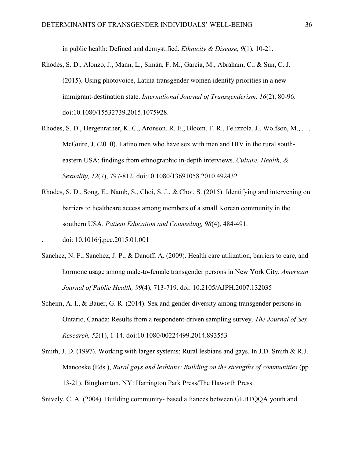in public health: Defined and demystified. *Ethnicity & Disease, 9*(1), 10-21.

- Rhodes, S. D., Alonzo, J., Mann, L., Simán, F. M., Garcia, M., Abraham, C., & Sun, C. J. (2015). Using photovoice, Latina transgender women identify priorities in a new immigrant-destination state. *International Journal of Transgenderism, 16*(2), 80-96. doi:10.1080/15532739.2015.1075928.
- Rhodes, S. D., Hergenrather, K. C., Aronson, R. E., Bloom, F. R., Felizzola, J., Wolfson, M., . . . McGuire, J. (2010). Latino men who have sex with men and HIV in the rural southeastern USA: findings from ethnographic in-depth interviews. *Culture, Health, & Sexuality, 12*(7), 797-812. doi:10.1080/13691058.2010.492432
- Rhodes, S. D., Song, E., Namb, S., Choi, S. J., & Choi, S. (2015). Identifying and intervening on barriers to healthcare access among members of a small Korean community in the southern USA. *Patient Education and Counseling, 98*(4), 484-491. . doi: 10.1016/j.pec.2015.01.001
- Sanchez, N. F., Sanchez, J. P., & Danoff, A. (2009). Health care utilization, barriers to care, and hormone usage among male-to-female transgender persons in New York City. *American Journal of Public Health, 99*(4), 713-719. doi: 10.2105/AJPH.2007.132035
- Scheim, A. I., & Bauer, G. R. (2014). Sex and gender diversity among transgender persons in Ontario, Canada: Results from a respondent-driven sampling survey. *The Journal of Sex Research, 52*(1), 1-14. doi:10.1080/00224499.2014.893553
- Smith, J. D. (1997). Working with larger systems: Rural lesbians and gays. In J.D. Smith & R.J. Mancoske (Eds.), *Rural gays and lesbians: Building on the strengths of communities* (pp. 13-21). Binghamton, NY: Harrington Park Press/The Haworth Press.

Snively, C. A. (2004). Building community- based alliances between GLBTQQA youth and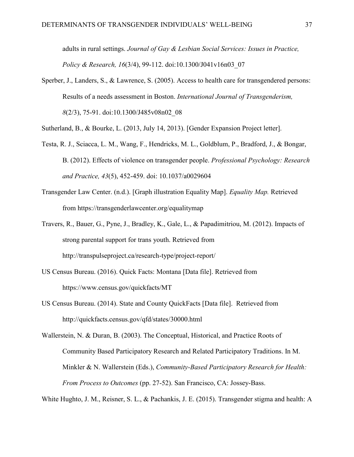adults in rural settings. *Journal of Gay & Lesbian Social Services: Issues in Practice, Policy & Research, 16*(3/4), 99-112. doi:10.1300/J041v16n03\_07

- Sperber, J., Landers, S., & Lawrence, S. (2005). Access to health care for transgendered persons: Results of a needs assessment in Boston. *International Journal of Transgenderism, 8*(2/3), 75-91. doi:10.1300/J485v08n02\_08
- Sutherland, B., & Bourke, L. (2013, July 14, 2013). [Gender Expansion Project letter].
- Testa, R. J., Sciacca, L. M., Wang, F., Hendricks, M. L., Goldblum, P., Bradford, J., & Bongar, B. (2012). Effects of violence on transgender people. *Professional Psychology: Research and Practice, 43*(5), 452-459. doi: 10.1037/a0029604
- Transgender Law Center. (n.d.). [Graph illustration Equality Map]. *Equality Map.* Retrieved from https://transgenderlawcenter.org/equalitymap
- Travers, R., Bauer, G., Pyne, J., Bradley, K., Gale, L., & Papadimitriou, M. (2012). Impacts of strong parental support for trans youth. Retrieved from http://transpulseproject.ca/research-type/project-report/
- US Census Bureau. (2016). Quick Facts: Montana [Data file]. Retrieved from https://www.census.gov/quickfacts/MT
- US Census Bureau. (2014). State and County QuickFacts [Data file]. Retrieved from <http://quickfacts.census.gov/qfd/states/30000.html>

Wallerstein, N. & Duran, B. (2003). The Conceptual, Historical, and Practice Roots of Community Based Participatory Research and Related Participatory Traditions. In M. Minkler & N. Wallerstein (Eds.), *Community-Based Participatory Research for Health: From Process to Outcomes* (pp. 27-52). San Francisco, CA: Jossey-Bass.

White Hughto, J. M., Reisner, S. L., & Pachankis, J. E. (2015). Transgender stigma and health: A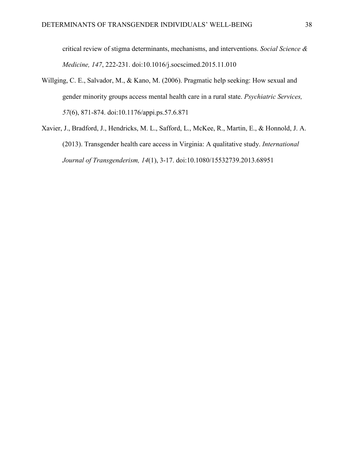critical review of stigma determinants, mechanisms, and interventions. *Social Science & Medicine, 147*, 222-231. doi:10.1016/j.socscimed.2015.11.010

- Willging, C. E., Salvador, M., & Kano, M. (2006). Pragmatic help seeking: How sexual and gender minority groups access mental health care in a rural state. *Psychiatric Services, 57*(6), 871-874. doi:10.1176/appi.ps.57.6.871
- Xavier, J., Bradford, J., Hendricks, M. L., Safford, L., McKee, R., Martin, E., & Honnold, J. A. (2013). Transgender health care access in Virginia: A qualitative study. *International Journal of Transgenderism, 14*(1), 3-17. doi:10.1080/15532739.2013.68951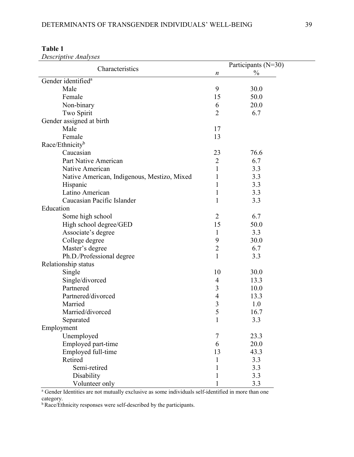| Characteristics                             |                | Participants (N=30) |
|---------------------------------------------|----------------|---------------------|
|                                             | n              | $\frac{0}{0}$       |
| Gender identified <sup>a</sup>              |                |                     |
| Male                                        | 9              | 30.0                |
| Female                                      | 15             | 50.0                |
| Non-binary                                  | 6              | 20.0                |
| Two Spirit                                  | $\overline{2}$ | 6.7                 |
| Gender assigned at birth                    |                |                     |
| Male                                        | 17             |                     |
| Female                                      | 13             |                     |
| Race/Ethnicity <sup>b</sup>                 |                |                     |
| Caucasian                                   | 23             | 76.6                |
| Part Native American                        | 2              | 6.7                 |
| Native American                             | 1              | 3.3                 |
| Native American, Indigenous, Mestizo, Mixed | 1              | 3.3                 |
| Hispanic                                    | 1              | 3.3                 |
| Latino American                             | 1              | 3.3                 |
| Caucasian Pacific Islander                  | 1              | 3.3                 |
| Education                                   |                |                     |
| Some high school                            | 2              | 6.7                 |
| High school degree/GED                      | 15             | 50.0                |
| Associate's degree                          | 1              | 3.3                 |
| College degree                              | 9              | 30.0                |
| Master's degree                             | $\overline{2}$ | 6.7                 |
| Ph.D./Professional degree                   | 1              | 3.3                 |
| Relationship status                         |                |                     |
| Single                                      | 10             | 30.0                |
| Single/divorced                             | 4              | 13.3                |
| Partnered                                   | 3              | 10.0                |
| Partnered/divorced                          | 4              | 13.3                |
| Married                                     | 3              | 1.0                 |
| Married/divorced                            | 5              | 16.7                |
| Separated                                   | 1              | 3.3                 |
| Employment                                  |                |                     |
| Unemployed                                  | $\overline{7}$ | 23.3                |
| Employed part-time                          | 6              | 20.0                |
| Employed full-time                          | 13             | 43.3                |
| Retired                                     | 1              | 3.3                 |
| Semi-retired                                | 1              | 3.3                 |
| Disability                                  | 1              | 3.3                 |
| Volunteer only                              |                | 3.3                 |

**Table 1** *Descriptive Analyses*

<sup>a</sup> Gender Identities are not mutually exclusive as some individuals self-identified in more than one category.

**b** Race/Ethnicity responses were self-described by the participants.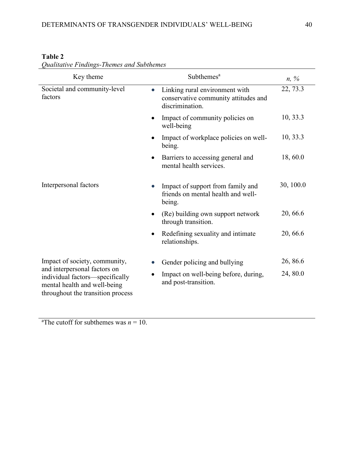| Key theme                                                                                                                            | Subthemes <sup>a</sup>                                                                                 | $n, \%$   |
|--------------------------------------------------------------------------------------------------------------------------------------|--------------------------------------------------------------------------------------------------------|-----------|
| Societal and community-level<br>factors                                                                                              | Linking rural environment with<br>$\bullet$<br>conservative community attitudes and<br>discrimination. | 22, 73.3  |
|                                                                                                                                      | Impact of community policies on<br>$\bullet$<br>well-being                                             | 10, 33.3  |
|                                                                                                                                      | Impact of workplace policies on well-<br>being.                                                        | 10, 33.3  |
|                                                                                                                                      | Barriers to accessing general and<br>$\bullet$<br>mental health services.                              | 18,60.0   |
| Interpersonal factors                                                                                                                | Impact of support from family and<br>friends on mental health and well-<br>being.                      | 30, 100.0 |
|                                                                                                                                      | (Re) building own support network<br>$\bullet$<br>through transition.                                  | 20, 66.6  |
|                                                                                                                                      | Redefining sexuality and intimate<br>relationships.                                                    | 20, 66.6  |
| Impact of society, community,                                                                                                        | Gender policing and bullying                                                                           | 26, 86.6  |
| and interpersonal factors on<br>individual factors-specifically<br>mental health and well-being<br>throughout the transition process | Impact on well-being before, during,<br>and post-transition.                                           | 24, 80.0  |

# **Table 2**

*Qualitative Findings-Themes and Subthemes* 

<sup>a</sup>The cutoff for subthemes was  $n = 10$ .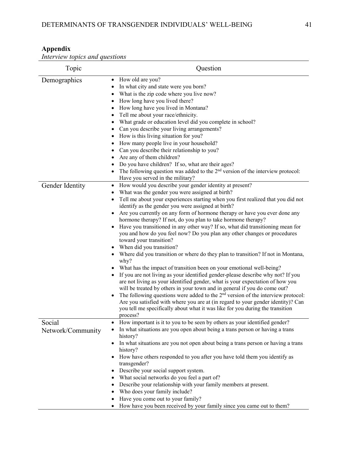#### **Appendix**

*Interview topics and questions*

| Topic                       | Question                                                                                                                                                                                                                                                                                                                                                                                                                                                                                                                                                                                                                                                                                                                                                                                                                                                                                                                                                                                                                                                                                                                                                                                                                                                                                                                            |
|-----------------------------|-------------------------------------------------------------------------------------------------------------------------------------------------------------------------------------------------------------------------------------------------------------------------------------------------------------------------------------------------------------------------------------------------------------------------------------------------------------------------------------------------------------------------------------------------------------------------------------------------------------------------------------------------------------------------------------------------------------------------------------------------------------------------------------------------------------------------------------------------------------------------------------------------------------------------------------------------------------------------------------------------------------------------------------------------------------------------------------------------------------------------------------------------------------------------------------------------------------------------------------------------------------------------------------------------------------------------------------|
| Demographics                | How old are you?<br>$\bullet$<br>In what city and state were you born?<br>٠<br>What is the zip code where you live now?<br>How long have you lived there?<br>$\bullet$<br>How long have you lived in Montana?<br>$\bullet$<br>Tell me about your race/ethnicity.<br>$\bullet$<br>What grade or education level did you complete in school?<br>$\bullet$<br>Can you describe your living arrangements?<br>How is this living situation for you?<br>How many people live in your household?<br>Can you describe their relationship to you?<br>Are any of them children?<br>Do you have children? If so, what are their ages?<br>The following question was added to the $2nd$ version of the interview protocol:<br>Have you served in the military?                                                                                                                                                                                                                                                                                                                                                                                                                                                                                                                                                                                  |
| Gender Identity             | How would you describe your gender identity at present?<br>$\bullet$<br>What was the gender you were assigned at birth?<br>Tell me about your experiences starting when you first realized that you did not<br>identify as the gender you were assigned at birth?<br>Are you currently on any form of hormone therapy or have you ever done any<br>hormone therapy? If not, do you plan to take hormone therapy?<br>Have you transitioned in any other way? If so, what did transitioning mean for<br>you and how do you feel now? Do you plan any other changes or procedures<br>toward your transition?<br>When did you transition?<br>• Where did you transition or where do they plan to transition? If not in Montana,<br>why?<br>What has the impact of transition been on your emotional well-being?<br>If you are not living as your identified gender-please describe why not? If you<br>are not living as your identified gender, what is your expectation of how you<br>will be treated by others in your town and in general if you do come out?<br>The following questions were added to the $2nd$ version of the interview protocol:<br>Are you satisfied with where you are at (in regard to your gender identity)? Can<br>you tell me specifically about what it was like for you during the transition<br>process? |
| Social<br>Network/Community | How important is it to you to be seen by others as your identified gender?<br>In what situations are you open about being a trans person or having a trans<br>history?<br>In what situations are you not open about being a trans person or having a trans<br>$\bullet$<br>history?<br>How have others responded to you after you have told them you identify as<br>transgender?<br>Describe your social support system.<br>$\bullet$<br>What social networks do you feel a part of?<br>٠<br>Describe your relationship with your family members at present.<br>$\bullet$<br>Who does your family include?<br>Have you come out to your family?<br>How have you been received by your family since you came out to them?                                                                                                                                                                                                                                                                                                                                                                                                                                                                                                                                                                                                            |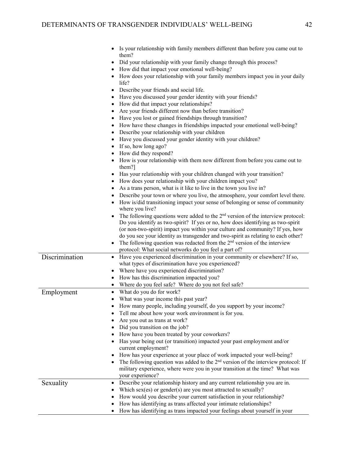|                | Is your relationship with family members different than before you came out to<br>them?<br>Did your relationship with your family change through this process?<br>$\bullet$<br>How did that impact your emotional well-being?<br>How does your relationship with your family members impact you in your daily<br>life?<br>• Describe your friends and social life.<br>• Have you discussed your gender identity with your friends?<br>• How did that impact your relationships?<br>Are your friends different now than before transition?<br>• Have you lost or gained friendships through transition?<br>• How have these changes in friendships impacted your emotional well-being?<br>• Describe your relationship with your children<br>• Have you discussed your gender identity with your children?<br>$\bullet$ If so, how long ago?<br>• How did they respond?<br>• How is your relationship with them now different from before you came out to<br>them?]<br>Has your relationship with your children changed with your transition?<br>• How does your relationship with your children impact you?<br>As a trans person, what is it like to live in the town you live in?<br>Describe your town or where you live, the atmosphere, your comfort level there.<br>How is/did transitioning impact your sense of belonging or sense of community<br>where you live?<br>The following questions were added to the $2nd$ version of the interview protocol:<br>Do you identify as two-spirit? If yes or no, how does identifying as two-spirit<br>(or non-two-spirit) impact you within your culture and community? If yes, how<br>do you see your identity as transgender and two-spirit as relating to each other? |
|----------------|--------------------------------------------------------------------------------------------------------------------------------------------------------------------------------------------------------------------------------------------------------------------------------------------------------------------------------------------------------------------------------------------------------------------------------------------------------------------------------------------------------------------------------------------------------------------------------------------------------------------------------------------------------------------------------------------------------------------------------------------------------------------------------------------------------------------------------------------------------------------------------------------------------------------------------------------------------------------------------------------------------------------------------------------------------------------------------------------------------------------------------------------------------------------------------------------------------------------------------------------------------------------------------------------------------------------------------------------------------------------------------------------------------------------------------------------------------------------------------------------------------------------------------------------------------------------------------------------------------------------------------------------------------------------------------------------------------------------------|
|                | The following question was redacted from the $2nd$ version of the interview                                                                                                                                                                                                                                                                                                                                                                                                                                                                                                                                                                                                                                                                                                                                                                                                                                                                                                                                                                                                                                                                                                                                                                                                                                                                                                                                                                                                                                                                                                                                                                                                                                              |
| Discrimination | protocol: What social networks do you feel a part of?<br>• Have you experienced discrimination in your community or elsewhere? If so,                                                                                                                                                                                                                                                                                                                                                                                                                                                                                                                                                                                                                                                                                                                                                                                                                                                                                                                                                                                                                                                                                                                                                                                                                                                                                                                                                                                                                                                                                                                                                                                    |
|                | what types of discrimination have you experienced?<br>Where have you experienced discrimination?<br>How has this discrimination impacted you?<br>Where do you feel safe? Where do you not feel safe?                                                                                                                                                                                                                                                                                                                                                                                                                                                                                                                                                                                                                                                                                                                                                                                                                                                                                                                                                                                                                                                                                                                                                                                                                                                                                                                                                                                                                                                                                                                     |
| Employment     | What do you do for work?<br>What was your income this past year?<br>$\bullet$<br>How many people, including yourself, do you support by your income?<br>Tell me about how your work environment is for you.                                                                                                                                                                                                                                                                                                                                                                                                                                                                                                                                                                                                                                                                                                                                                                                                                                                                                                                                                                                                                                                                                                                                                                                                                                                                                                                                                                                                                                                                                                              |
|                | Are you out as trans at work?<br>Did you transition on the job?<br>How have you been treated by your coworkers?<br>Has your being out (or transition) impacted your past employment and/or<br>current employment?                                                                                                                                                                                                                                                                                                                                                                                                                                                                                                                                                                                                                                                                                                                                                                                                                                                                                                                                                                                                                                                                                                                                                                                                                                                                                                                                                                                                                                                                                                        |
|                | How has your experience at your place of work impacted your well-being?<br>The following question was added to the $2nd$ version of the interview protocol: If<br>military experience, where were you in your transition at the time? What was<br>your experience?                                                                                                                                                                                                                                                                                                                                                                                                                                                                                                                                                                                                                                                                                                                                                                                                                                                                                                                                                                                                                                                                                                                                                                                                                                                                                                                                                                                                                                                       |
| Sexuality      | Describe your relationship history and any current relationship you are in.<br>Which sex(es) or gender(s) are you most attracted to sexually?<br>How would you describe your current satisfaction in your relationship?<br>How has identifying as trans affected your intimate relationships?<br>How has identifying as trans impacted your feelings about yourself in your<br>$\bullet$                                                                                                                                                                                                                                                                                                                                                                                                                                                                                                                                                                                                                                                                                                                                                                                                                                                                                                                                                                                                                                                                                                                                                                                                                                                                                                                                 |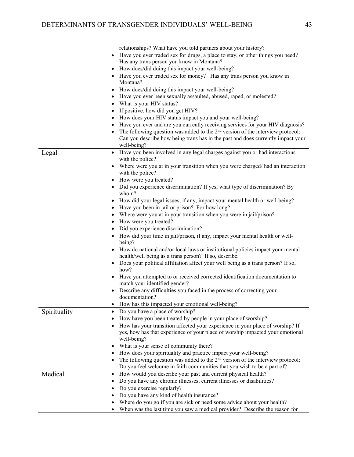|              | relationships? What have you told partners about your history?                   |
|--------------|----------------------------------------------------------------------------------|
|              | Have you ever traded sex for drugs, a place to stay, or other things you need?   |
|              | Has any trans person you know in Montana?                                        |
|              | How does/did doing this impact your well-being?                                  |
|              |                                                                                  |
|              | Have you ever traded sex for money? Has any trans person you know in<br>Montana? |
|              | How does/did doing this impact your well-being?                                  |
|              | Have you ever been sexually assaulted, abused, raped, or molested?               |
|              | What is your HIV status?                                                         |
|              | If positive, how did you get HIV?                                                |
|              |                                                                                  |
|              | How does your HIV status impact you and your well-being?                         |
|              | Have you ever and are you currently receiving services for your HIV diagnosis?   |
|              | The following question was added to the $2nd$ version of the interview protocol: |
|              | Can you describe how being trans has in the past and does currently impact your  |
|              | well-being?                                                                      |
| Legal        | Have you been involved in any legal charges against you or had interactions      |
|              | with the police?                                                                 |
|              | Where were you at in your transition when you were charged/had an interaction    |
|              | with the police?                                                                 |
|              | How were you treated?                                                            |
|              | • Did you experience discrimination? If yes, what type of discrimination? By     |
|              | whom?                                                                            |
|              | How did your legal issues, if any, impact your mental health or well-being?      |
|              | Have you been in jail or prison? For how long?                                   |
|              | Where were you at in your transition when you were in jail/prison?               |
|              | How were you treated?                                                            |
|              | Did you experience discrimination?                                               |
|              | How did your time in jail/prison, if any, impact your mental health or well-     |
|              | being?                                                                           |
|              | How do national and/or local laws or institutional policies impact your mental   |
|              | health/well being as a trans person? If so, describe.                            |
|              | Does your political affiliation affect your well being as a trans person? If so, |
|              | how?                                                                             |
|              | Have you attempted to or received corrected identification documentation to      |
|              | match your identified gender?                                                    |
|              | Describe any difficulties you faced in the process of correcting your            |
|              | documentation?                                                                   |
|              | How has this impacted your emotional well-being?                                 |
|              | Do you have a place of worship?                                                  |
| Spirituality |                                                                                  |
|              | How have you been treated by people in your place of worship?                    |
|              | How has your transition affected your experience in your place of worship? If    |
|              | yes, how has that experience of your place of worship impacted your emotional    |
|              | well-being?                                                                      |
|              | What is your sense of community there?                                           |
|              | How does your spirituality and practice impact your well-being?                  |
|              | The following question was added to the $2nd$ version of the interview protocol: |
|              | Do you feel welcome in faith communities that you wish to be a part of?          |
| Medical      | How would you describe your past and current physical health?<br>$\bullet$       |
|              | Do you have any chronic illnesses, current illnesses or disabilities?            |
|              | Do you exercise regularly?                                                       |
|              |                                                                                  |
|              | Do you have any kind of health insurance?                                        |
|              | Where do you go if you are sick or need some advice about your health?           |
|              | When was the last time you saw a medical provider? Describe the reason for       |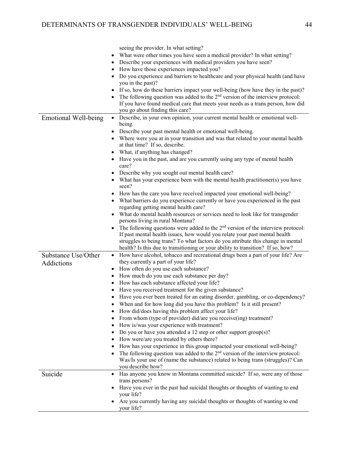|                             | seeing the provider. In what setting?                                                      |
|-----------------------------|--------------------------------------------------------------------------------------------|
|                             | What were other times you have seen a medical provider? In what setting?                   |
|                             | Describe your experiences with medical providers you have seen?                            |
|                             | How have those experiences impacted you?                                                   |
|                             | Do you experience and barriers to healthcare and your physical health (and have            |
|                             | you in the past)?                                                                          |
|                             | If so, how do these barriers impact your well-being (how have they in the past)?           |
|                             | The following question was added to the $2nd$ version of the interview protocol:           |
|                             | If you have found medical care that meets your needs as a trans person, how did            |
|                             | you go about finding this care?                                                            |
|                             | Describe, in your own opinion, your current mental health or emotional well-               |
| <b>Emotional Well-being</b> | $\bullet$<br>being.                                                                        |
|                             |                                                                                            |
|                             | Describe your past mental health or emotional well-being.                                  |
|                             | Where were you at in your transition and was that related to your mental health            |
|                             | at that time? If so, describe.                                                             |
|                             | What, if anything has changed?                                                             |
|                             | Have you in the past, and are you currently using any type of mental health<br>care?       |
|                             | • Describe why you sought out mental health care?                                          |
|                             | • What has your experience been with the mental health practitioner(s) you have            |
|                             | seen?                                                                                      |
|                             | • How has the care you have received impacted your emotional well-being?                   |
|                             | • What barriers do you experience currently or have you experienced in the past            |
|                             | regarding getting mental health care?                                                      |
|                             | What do mental health resources or services need to look like for transgender              |
|                             | persons living in rural Montana?                                                           |
|                             | The following questions were added to the $2nd$ version of the interview protocol:         |
|                             | If past mental health issues, how would you relate your past mental health                 |
|                             | struggles to being trans? To what factors do you attribute this change in mental           |
|                             | health? Is this due to transitioning or your ability to transition? If so, how?            |
| Substance Use/Other         | • How have alcohol, tobacco and recreational drugs been a part of your life? Are           |
| Addictions                  | they currently a part of your life?                                                        |
|                             | How often do you use each substance?                                                       |
|                             | How much do you use each substance per day?                                                |
|                             | How has each substance affected your life?                                                 |
|                             | Have you received treatment for the given substance?                                       |
|                             | Have you ever been treated for an eating disorder, gambling, or co-dependency?             |
|                             | When and for how long did you have this problem? Is it still present?                      |
|                             | How did/does having this problem affect your life?                                         |
|                             | From whom (type of provider) did/are you receive(ing) treatment?                           |
|                             | How is/was your experience with treatment?                                                 |
|                             | Do you or have you attended a 12 step or other support group(s)?                           |
|                             | How were/are you treated by others there?                                                  |
|                             | How has your experience in this group impacted your emotional well-being?                  |
|                             | The following question was added to the 2 <sup>nd</sup> version of the interview protocol: |
|                             | Was/Is your use of (name the substance) related to being trans (struggles)? Can            |
|                             | you describe how?                                                                          |
| Suicide                     | Has anyone you know in Montana committed suicide? If so, were any of those                 |
|                             | trans persons?                                                                             |
|                             | Have you ever in the past had suicidal thoughts or thoughts of wanting to end              |
|                             | your life?                                                                                 |
|                             | Are you currently having any suicidal thoughts or thoughts of wanting to end<br>your life? |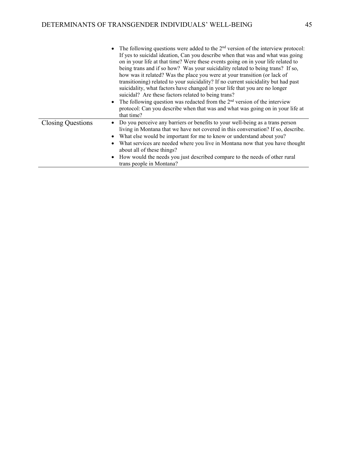|                          | • The following questions were added to the $2nd$ version of the interview protocol:<br>If yes to suicidal ideation, Can you describe when that was and what was going<br>on in your life at that time? Were these events going on in your life related to<br>being trans and if so how? Was your suicidality related to being trans? If so,<br>how was it related? Was the place you were at your transition (or lack of<br>transitioning) related to your suicidality? If no current suicidality but had past<br>suicidality, what factors have changed in your life that you are no longer<br>suicidal? Are these factors related to being trans?<br>The following question was redacted from the $2nd$ version of the interview<br>protocol: Can you describe when that was and what was going on in your life at<br>that time? |
|--------------------------|-------------------------------------------------------------------------------------------------------------------------------------------------------------------------------------------------------------------------------------------------------------------------------------------------------------------------------------------------------------------------------------------------------------------------------------------------------------------------------------------------------------------------------------------------------------------------------------------------------------------------------------------------------------------------------------------------------------------------------------------------------------------------------------------------------------------------------------|
| <b>Closing Questions</b> | Do you perceive any barriers or benefits to your well-being as a trans person<br>living in Montana that we have not covered in this conversation? If so, describe.<br>What else would be important for me to know or understand about you?<br>What services are needed where you live in Montana now that you have thought<br>about all of these things?<br>How would the needs you just described compare to the needs of other rural<br>trans people in Montana?                                                                                                                                                                                                                                                                                                                                                                  |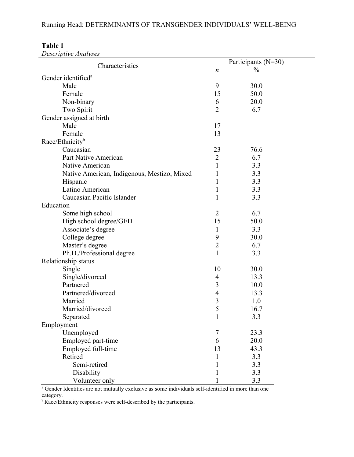|                                             |                  | Participants (N=30) |  |
|---------------------------------------------|------------------|---------------------|--|
| Characteristics                             | $\boldsymbol{n}$ | $\frac{0}{0}$       |  |
| Gender identified <sup>a</sup>              |                  |                     |  |
| Male                                        | 9                | 30.0                |  |
| Female                                      | 15               | 50.0                |  |
| Non-binary                                  | 6                | 20.0                |  |
| Two Spirit                                  | $\overline{2}$   | 6.7                 |  |
| Gender assigned at birth                    |                  |                     |  |
| Male                                        | 17               |                     |  |
| Female                                      | 13               |                     |  |
| Race/Ethnicity <sup>b</sup>                 |                  |                     |  |
| Caucasian                                   | 23               | 76.6                |  |
| Part Native American                        | $\overline{2}$   | 6.7                 |  |
| Native American                             | 1                | 3.3                 |  |
| Native American, Indigenous, Mestizo, Mixed | 1                | 3.3                 |  |
| Hispanic                                    | 1                | 3.3                 |  |
| Latino American                             | 1                | 3.3                 |  |
| Caucasian Pacific Islander                  | 1                | 3.3                 |  |
| Education                                   |                  |                     |  |
| Some high school                            | $\overline{2}$   | 6.7                 |  |
| High school degree/GED                      | 15               | 50.0                |  |
| Associate's degree                          | $\mathbf{1}$     | 3.3                 |  |
| College degree                              | 9                | 30.0                |  |
| Master's degree                             | $\overline{2}$   | 6.7                 |  |
| Ph.D./Professional degree                   | $\mathbf{1}$     | 3.3                 |  |
| Relationship status                         |                  |                     |  |
| Single                                      | 10               | 30.0                |  |
| Single/divorced                             | 4                | 13.3                |  |
| Partnered                                   | 3                | 10.0                |  |
| Partnered/divorced                          | 4                | 13.3                |  |
| Married                                     | 3                | 1.0                 |  |
| Married/divorced                            | 5                | 16.7                |  |
| Separated                                   | $\mathbf{I}$     | 3.3                 |  |
| Employment                                  |                  |                     |  |
| Unemployed                                  | $\tau$           | 23.3                |  |
| Employed part-time                          | 6                | 20.0                |  |
| Employed full-time                          | 13               | 43.3                |  |
| Retired                                     | 1                | 3.3                 |  |
| Semi-retired                                | 1                | 3.3                 |  |
| Disability                                  |                  | 3.3                 |  |
| Volunteer only                              |                  | 3.3                 |  |

## **Table 1**

*Descriptive Analyses*

<sup>a</sup> Gender Identities are not mutually exclusive as some individuals self-identified in more than one category.

**b** Race/Ethnicity responses were self-described by the participants.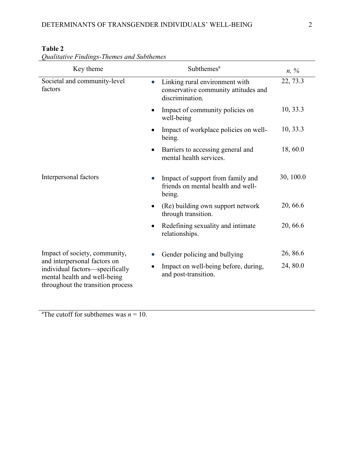| Key theme                                                                                                                            | Subthemes <sup>a</sup>                                                                                 | $n, \%$   |
|--------------------------------------------------------------------------------------------------------------------------------------|--------------------------------------------------------------------------------------------------------|-----------|
| Societal and community-level<br>factors                                                                                              | Linking rural environment with<br>$\bullet$<br>conservative community attitudes and<br>discrimination. | 22, 73.3  |
|                                                                                                                                      | Impact of community policies on<br>$\bullet$<br>well-being                                             | 10, 33.3  |
|                                                                                                                                      | Impact of workplace policies on well-<br>being.                                                        | 10, 33.3  |
|                                                                                                                                      | Barriers to accessing general and<br>$\bullet$<br>mental health services.                              | 18,60.0   |
| Interpersonal factors                                                                                                                | Impact of support from family and<br>friends on mental health and well-<br>being.                      | 30, 100.0 |
|                                                                                                                                      | (Re) building own support network<br>$\bullet$<br>through transition.                                  | 20, 66.6  |
|                                                                                                                                      | Redefining sexuality and intimate<br>$\bullet$<br>relationships.                                       | 20, 66.6  |
| Impact of society, community,                                                                                                        | Gender policing and bullying                                                                           | 26, 86.6  |
| and interpersonal factors on<br>individual factors-specifically<br>mental health and well-being<br>throughout the transition process | Impact on well-being before, during,<br>and post-transition.                                           | 24, 80.0  |

### **Table 2**

*Qualitative Findings-Themes and Subthemes* 

<sup>a</sup>The cutoff for subthemes was  $n = 10$ .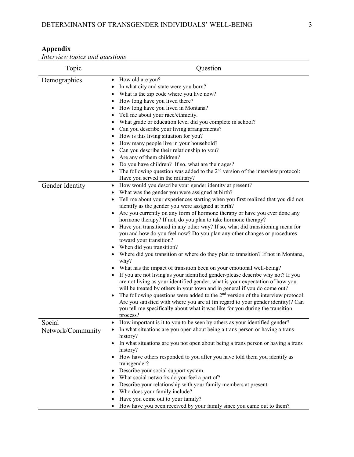#### **Appendix**

*Interview topics and questions*

| Topic                       | Question                                                                                                                                                                                                                                                                                                                                                                                                                                                                                                                                                                                                                                                                                                                                                                                                                                                                                                                                                                                                                                                                                                                                                                                                                                                                                                                            |
|-----------------------------|-------------------------------------------------------------------------------------------------------------------------------------------------------------------------------------------------------------------------------------------------------------------------------------------------------------------------------------------------------------------------------------------------------------------------------------------------------------------------------------------------------------------------------------------------------------------------------------------------------------------------------------------------------------------------------------------------------------------------------------------------------------------------------------------------------------------------------------------------------------------------------------------------------------------------------------------------------------------------------------------------------------------------------------------------------------------------------------------------------------------------------------------------------------------------------------------------------------------------------------------------------------------------------------------------------------------------------------|
| Demographics                | How old are you?<br>$\bullet$<br>In what city and state were you born?<br>٠<br>What is the zip code where you live now?<br>$\bullet$<br>How long have you lived there?<br>$\bullet$<br>How long have you lived in Montana?<br>$\bullet$<br>Tell me about your race/ethnicity.<br>$\bullet$<br>What grade or education level did you complete in school?<br>$\bullet$<br>Can you describe your living arrangements?<br>How is this living situation for you?<br>How many people live in your household?<br>Can you describe their relationship to you?<br>Are any of them children?<br>Do you have children? If so, what are their ages?<br>The following question was added to the $2nd$ version of the interview protocol:<br>Have you served in the military?                                                                                                                                                                                                                                                                                                                                                                                                                                                                                                                                                                     |
| Gender Identity             | How would you describe your gender identity at present?<br>$\bullet$<br>What was the gender you were assigned at birth?<br>Tell me about your experiences starting when you first realized that you did not<br>identify as the gender you were assigned at birth?<br>Are you currently on any form of hormone therapy or have you ever done any<br>hormone therapy? If not, do you plan to take hormone therapy?<br>Have you transitioned in any other way? If so, what did transitioning mean for<br>you and how do you feel now? Do you plan any other changes or procedures<br>toward your transition?<br>When did you transition?<br>• Where did you transition or where do they plan to transition? If not in Montana,<br>why?<br>What has the impact of transition been on your emotional well-being?<br>If you are not living as your identified gender-please describe why not? If you<br>are not living as your identified gender, what is your expectation of how you<br>will be treated by others in your town and in general if you do come out?<br>The following questions were added to the $2nd$ version of the interview protocol:<br>Are you satisfied with where you are at (in regard to your gender identity)? Can<br>you tell me specifically about what it was like for you during the transition<br>process? |
| Social<br>Network/Community | How important is it to you to be seen by others as your identified gender?<br>In what situations are you open about being a trans person or having a trans<br>history?<br>In what situations are you not open about being a trans person or having a trans<br>history?<br>How have others responded to you after you have told them you identify as<br>transgender?<br>Describe your social support system.<br>What social networks do you feel a part of?<br>$\bullet$<br>Describe your relationship with your family members at present.<br>$\bullet$<br>Who does your family include?<br>Have you come out to your family?<br>How have you been received by your family since you came out to them?<br>$\bullet$                                                                                                                                                                                                                                                                                                                                                                                                                                                                                                                                                                                                                 |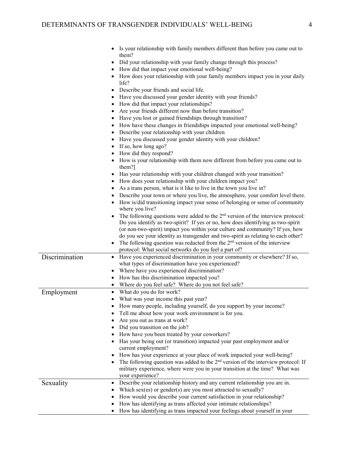|                | Is your relationship with family members different than before you came out to                                                                                      |
|----------------|---------------------------------------------------------------------------------------------------------------------------------------------------------------------|
|                | them?                                                                                                                                                               |
|                | Did your relationship with your family change through this process?                                                                                                 |
|                | How did that impact your emotional well-being?                                                                                                                      |
|                | How does your relationship with your family members impact you in your daily<br>life?                                                                               |
|                | Describe your friends and social life.<br>$\bullet$                                                                                                                 |
|                | Have you discussed your gender identity with your friends?                                                                                                          |
|                | How did that impact your relationships?                                                                                                                             |
|                | Are your friends different now than before transition?                                                                                                              |
|                | Have you lost or gained friendships through transition?                                                                                                             |
|                | How have these changes in friendships impacted your emotional well-being?                                                                                           |
|                | Describe your relationship with your children                                                                                                                       |
|                | Have you discussed your gender identity with your children?                                                                                                         |
|                | If so, how long ago?                                                                                                                                                |
|                | How did they respond?                                                                                                                                               |
|                | How is your relationship with them now different from before you came out to<br>them?]                                                                              |
|                | Has your relationship with your children changed with your transition?                                                                                              |
|                | How does your relationship with your children impact you?                                                                                                           |
|                | As a trans person, what is it like to live in the town you live in?                                                                                                 |
|                | Describe your town or where you live, the atmosphere, your comfort level there.                                                                                     |
|                | How is/did transitioning impact your sense of belonging or sense of community<br>where you live?                                                                    |
|                | The following questions were added to the $2nd$ version of the interview protocol:                                                                                  |
|                | Do you identify as two-spirit? If yes or no, how does identifying as two-spirit                                                                                     |
|                | (or non-two-spirit) impact you within your culture and community? If yes, how                                                                                       |
|                | do you see your identity as transgender and two-spirit as relating to each other?                                                                                   |
|                | The following question was redacted from the $2nd$ version of the interview                                                                                         |
|                | protocol: What social networks do you feel a part of?                                                                                                               |
| Discrimination | Have you experienced discrimination in your community or elsewhere? If so,                                                                                          |
|                | what types of discrimination have you experienced?                                                                                                                  |
|                | Where have you experienced discrimination?                                                                                                                          |
|                | How has this discrimination impacted you?                                                                                                                           |
|                | Where do you feel safe? Where do you not feel safe?                                                                                                                 |
| Employment     | What do you do for work?                                                                                                                                            |
|                | What was your income this past year?                                                                                                                                |
|                | How many people, including yourself, do you support by your income?                                                                                                 |
|                | Tell me about how your work environment is for you.                                                                                                                 |
|                | Are you out as trans at work?                                                                                                                                       |
|                | Did you transition on the job?                                                                                                                                      |
|                | How have you been treated by your coworkers?                                                                                                                        |
|                | Has your being out (or transition) impacted your past employment and/or<br>current employment?                                                                      |
|                | How has your experience at your place of work impacted your well-being?                                                                                             |
|                | The following question was added to the $2nd$ version of the interview protocol: If<br>military experience, where were you in your transition at the time? What was |
|                | your experience?<br>Describe your relationship history and any current relationship you are in.                                                                     |
| Sexuality      | $\bullet$                                                                                                                                                           |
|                | Which sex(es) or gender(s) are you most attracted to sexually?                                                                                                      |
|                | How would you describe your current satisfaction in your relationship?                                                                                              |
|                | How has identifying as trans affected your intimate relationships?<br>How has identifying as trans impacted your feelings about yourself in your                    |
|                |                                                                                                                                                                     |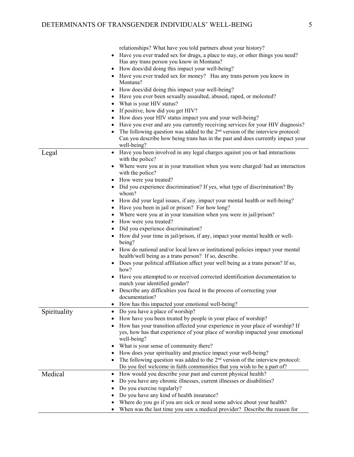|              | relationships? What have you told partners about your history?                     |
|--------------|------------------------------------------------------------------------------------|
|              | Have you ever traded sex for drugs, a place to stay, or other things you need?     |
|              | Has any trans person you know in Montana?                                          |
|              | How does/did doing this impact your well-being?                                    |
|              | • Have you ever traded sex for money? Has any trans person you know in             |
|              | Montana?                                                                           |
|              | How does/did doing this impact your well-being?                                    |
|              | Have you ever been sexually assaulted, abused, raped, or molested?                 |
|              | What is your HIV status?                                                           |
|              | If positive, how did you get HIV?                                                  |
|              | How does your HIV status impact you and your well-being?                           |
|              | Have you ever and are you currently receiving services for your HIV diagnosis?     |
|              | The following question was added to the $2nd$ version of the interview protocol:   |
|              | Can you describe how being trans has in the past and does currently impact your    |
|              | well-being?                                                                        |
| Legal        | • Have you been involved in any legal charges against you or had interactions      |
|              | with the police?                                                                   |
|              | Where were you at in your transition when you were charged/ had an interaction     |
|              | with the police?                                                                   |
|              | How were you treated?                                                              |
|              | • Did you experience discrimination? If yes, what type of discrimination? By       |
|              | whom?                                                                              |
|              | How did your legal issues, if any, impact your mental health or well-being?        |
|              | Have you been in jail or prison? For how long?                                     |
|              | Where were you at in your transition when you were in jail/prison?                 |
|              | How were you treated?                                                              |
|              | Did you experience discrimination?                                                 |
|              | • How did your time in jail/prison, if any, impact your mental health or well-     |
|              | being?                                                                             |
|              | • How do national and/or local laws or institutional policies impact your mental   |
|              | health/well being as a trans person? If so, describe.                              |
|              | • Does your political affiliation affect your well being as a trans person? If so, |
|              | how?                                                                               |
|              | Have you attempted to or received corrected identification documentation to        |
|              | match your identified gender?                                                      |
|              | Describe any difficulties you faced in the process of correcting your              |
|              | documentation?                                                                     |
|              | How has this impacted your emotional well-being?                                   |
| Spirituality | Do you have a place of worship?                                                    |
|              | How have you been treated by people in your place of worship?                      |
|              | How has your transition affected your experience in your place of worship? If      |
|              | yes, how has that experience of your place of worship impacted your emotional      |
|              | well-being?                                                                        |
|              | What is your sense of community there?<br>٠                                        |
|              | How does your spirituality and practice impact your well-being?                    |
|              | The following question was added to the $2nd$ version of the interview protocol:   |
|              | Do you feel welcome in faith communities that you wish to be a part of?            |
| Medical      | How would you describe your past and current physical health?<br>٠                 |
|              | Do you have any chronic illnesses, current illnesses or disabilities?              |
|              | Do you exercise regularly?                                                         |
|              | Do you have any kind of health insurance?                                          |
|              |                                                                                    |
|              | Where do you go if you are sick or need some advice about your health?             |
|              | When was the last time you saw a medical provider? Describe the reason for         |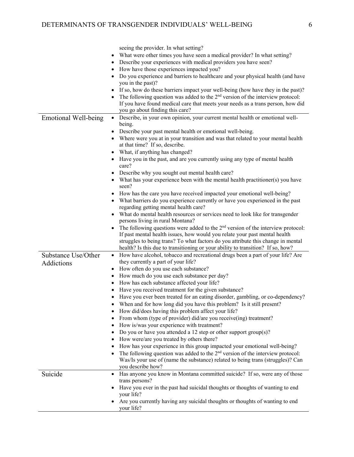|                             | seeing the provider. In what setting?                                                       |
|-----------------------------|---------------------------------------------------------------------------------------------|
|                             | What were other times you have seen a medical provider? In what setting?<br>٠               |
|                             | Describe your experiences with medical providers you have seen?                             |
|                             | How have those experiences impacted you?                                                    |
|                             | Do you experience and barriers to healthcare and your physical health (and have             |
|                             | you in the past)?                                                                           |
|                             | If so, how do these barriers impact your well-being (how have they in the past)?            |
|                             |                                                                                             |
|                             | The following question was added to the 2 <sup>nd</sup> version of the interview protocol:  |
|                             | If you have found medical care that meets your needs as a trans person, how did             |
|                             | you go about finding this care?                                                             |
| <b>Emotional Well-being</b> | • Describe, in your own opinion, your current mental health or emotional well-              |
|                             | being.                                                                                      |
|                             | Describe your past mental health or emotional well-being.<br>$\bullet$                      |
|                             | • Where were you at in your transition and was that related to your mental health           |
|                             | at that time? If so, describe.                                                              |
|                             | What, if anything has changed?<br>$\bullet$                                                 |
|                             | Have you in the past, and are you currently using any type of mental health<br>care?        |
|                             | Describe why you sought out mental health care?                                             |
|                             | • What has your experience been with the mental health practitioner(s) you have             |
|                             | seen?                                                                                       |
|                             | How has the care you have received impacted your emotional well-being?                      |
|                             | • What barriers do you experience currently or have you experienced in the past             |
|                             | regarding getting mental health care?                                                       |
|                             | What do mental health resources or services need to look like for transgender<br>$\bullet$  |
|                             | persons living in rural Montana?                                                            |
|                             |                                                                                             |
|                             | The following questions were added to the $2nd$ version of the interview protocol:          |
|                             | If past mental health issues, how would you relate your past mental health                  |
|                             | struggles to being trans? To what factors do you attribute this change in mental            |
|                             | health? Is this due to transitioning or your ability to transition? If so, how?             |
| Substance Use/Other         | How have alcohol, tobacco and recreational drugs been a part of your life? Are<br>$\bullet$ |
| Addictions                  | they currently a part of your life?                                                         |
|                             | How often do you use each substance?<br>$\bullet$                                           |
|                             | How much do you use each substance per day?                                                 |
|                             | How has each substance affected your life?                                                  |
|                             | Have you received treatment for the given substance?                                        |
|                             | Have you ever been treated for an eating disorder, gambling, or co-dependency?              |
|                             | When and for how long did you have this problem? Is it still present?                       |
|                             | How did/does having this problem affect your life?<br>$\bullet$                             |
|                             | From whom (type of provider) did/are you receive(ing) treatment?<br>٠                       |
|                             | How is/was your experience with treatment?                                                  |
|                             | Do you or have you attended a 12 step or other support group(s)?                            |
|                             | How were/are you treated by others there?                                                   |
|                             |                                                                                             |
|                             | How has your experience in this group impacted your emotional well-being?                   |
|                             | The following question was added to the $2nd$ version of the interview protocol:            |
|                             | Was/Is your use of (name the substance) related to being trans (struggles)? Can             |
|                             | you describe how?                                                                           |
| Suicide                     | Has anyone you know in Montana committed suicide? If so, were any of those<br>$\bullet$     |
|                             | trans persons?                                                                              |
|                             | Have you ever in the past had suicidal thoughts or thoughts of wanting to end               |
|                             | your life?                                                                                  |
|                             | Are you currently having any suicidal thoughts or thoughts of wanting to end<br>your life?  |